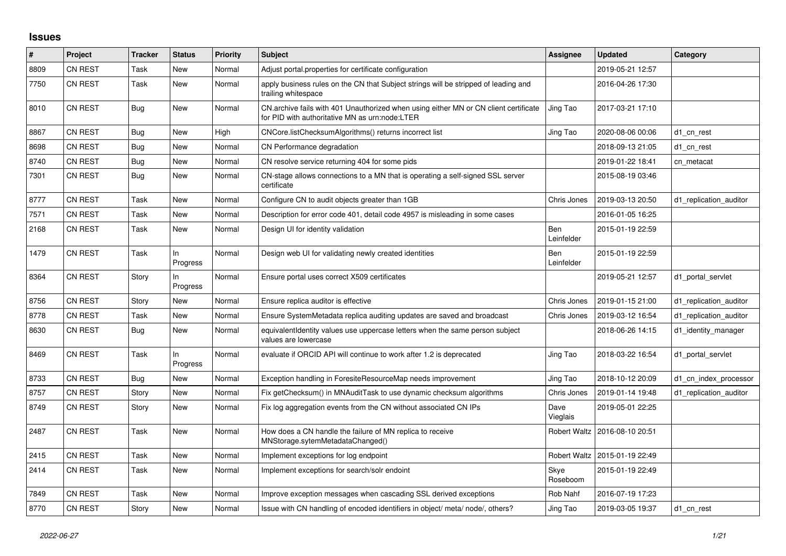## **Issues**

| ∣#   | Project        | <b>Tracker</b> | <b>Status</b>   | <b>Priority</b> | <b>Subject</b>                                                                                                                         | Assignee                 | <b>Updated</b>                  | Category               |
|------|----------------|----------------|-----------------|-----------------|----------------------------------------------------------------------------------------------------------------------------------------|--------------------------|---------------------------------|------------------------|
| 8809 | <b>CN REST</b> | Task           | New             | Normal          | Adjust portal properties for certificate configuration                                                                                 |                          | 2019-05-21 12:57                |                        |
| 7750 | <b>CN REST</b> | Task           | New             | Normal          | apply business rules on the CN that Subject strings will be stripped of leading and<br>trailing whitespace                             |                          | 2016-04-26 17:30                |                        |
| 8010 | <b>CN REST</b> | Bug            | New             | Normal          | CN.archive fails with 401 Unauthorized when using either MN or CN client certificate<br>for PID with authoritative MN as urn:node:LTER | Jing Tao                 | 2017-03-21 17:10                |                        |
| 8867 | <b>CN REST</b> | Bug            | <b>New</b>      | High            | CNCore.listChecksumAlgorithms() returns incorrect list                                                                                 | Jing Tao                 | 2020-08-06 00:06                | d1 cn rest             |
| 8698 | <b>CN REST</b> | Bug            | <b>New</b>      | Normal          | CN Performance degradation                                                                                                             |                          | 2018-09-13 21:05                | d1_cn_rest             |
| 8740 | <b>CN REST</b> | Bug            | New             | Normal          | CN resolve service returning 404 for some pids                                                                                         |                          | 2019-01-22 18:41                | cn metacat             |
| 7301 | <b>CN REST</b> | Bug            | New             | Normal          | CN-stage allows connections to a MN that is operating a self-signed SSL server<br>certificate                                          |                          | 2015-08-19 03:46                |                        |
| 8777 | <b>CN REST</b> | Task           | New             | Normal          | Configure CN to audit objects greater than 1GB                                                                                         | Chris Jones              | 2019-03-13 20:50                | d1 replication auditor |
| 7571 | <b>CN REST</b> | Task           | <b>New</b>      | Normal          | Description for error code 401, detail code 4957 is misleading in some cases                                                           |                          | 2016-01-05 16:25                |                        |
| 2168 | <b>CN REST</b> | Task           | <b>New</b>      | Normal          | Design UI for identity validation                                                                                                      | Ben<br>Leinfelder        | 2015-01-19 22:59                |                        |
| 1479 | <b>CN REST</b> | Task           | In.<br>Progress | Normal          | Design web UI for validating newly created identities                                                                                  | <b>Ben</b><br>Leinfelder | 2015-01-19 22:59                |                        |
| 8364 | <b>CN REST</b> | Story          | In<br>Progress  | Normal          | Ensure portal uses correct X509 certificates                                                                                           |                          | 2019-05-21 12:57                | d1 portal servlet      |
| 8756 | CN REST        | Story          | <b>New</b>      | Normal          | Ensure replica auditor is effective                                                                                                    | Chris Jones              | 2019-01-15 21:00                | d1 replication auditor |
| 8778 | <b>CN REST</b> | Task           | New             | Normal          | Ensure SystemMetadata replica auditing updates are saved and broadcast                                                                 | Chris Jones              | 2019-03-12 16:54                | d1 replication auditor |
| 8630 | <b>CN REST</b> | Bug            | <b>New</b>      | Normal          | equivalentIdentity values use uppercase letters when the same person subject<br>values are lowercase                                   |                          | 2018-06-26 14:15                | d1_identity_manager    |
| 8469 | <b>CN REST</b> | Task           | ln<br>Progress  | Normal          | evaluate if ORCID API will continue to work after 1.2 is deprecated                                                                    | Jing Tao                 | 2018-03-22 16:54                | d1 portal servlet      |
| 8733 | <b>CN REST</b> | Bug            | New             | Normal          | Exception handling in ForesiteResourceMap needs improvement                                                                            | Jing Tao                 | 2018-10-12 20:09                | d1 cn index processor  |
| 8757 | CN REST        | Story          | New             | Normal          | Fix getChecksum() in MNAuditTask to use dynamic checksum algorithms                                                                    | Chris Jones              | 2019-01-14 19:48                | d1_replication_auditor |
| 8749 | <b>CN REST</b> | Story          | New             | Normal          | Fix log aggregation events from the CN without associated CN IPs                                                                       | Dave<br>Vieglais         | 2019-05-01 22:25                |                        |
| 2487 | CN REST        | Task           | <b>New</b>      | Normal          | How does a CN handle the failure of MN replica to receive<br>MNStorage.sytemMetadataChanged()                                          | <b>Robert Waltz</b>      | 2016-08-10 20:51                |                        |
| 2415 | <b>CN REST</b> | Task           | New             | Normal          | Implement exceptions for log endpoint                                                                                                  |                          | Robert Waltz   2015-01-19 22:49 |                        |
| 2414 | <b>CN REST</b> | Task           | <b>New</b>      | Normal          | Implement exceptions for search/solr endoint                                                                                           | Skye<br>Roseboom         | 2015-01-19 22:49                |                        |
| 7849 | <b>CN REST</b> | Task           | New             | Normal          | Improve exception messages when cascading SSL derived exceptions                                                                       | Rob Nahf                 | 2016-07-19 17:23                |                        |
| 8770 | <b>CN REST</b> | Story          | New             | Normal          | Issue with CN handling of encoded identifiers in object/meta/node/, others?                                                            | Jing Tao                 | 2019-03-05 19:37                | d1 cn rest             |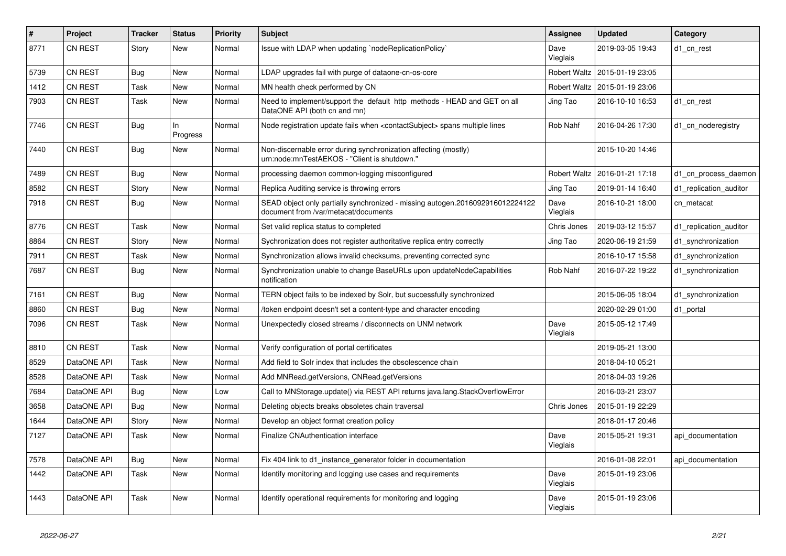| #    | Project        | <b>Tracker</b> | <b>Status</b>   | <b>Priority</b> | <b>Subject</b>                                                                                                        | <b>Assignee</b>     | <b>Updated</b>                  | Category               |
|------|----------------|----------------|-----------------|-----------------|-----------------------------------------------------------------------------------------------------------------------|---------------------|---------------------------------|------------------------|
| 8771 | CN REST        | Story          | New             | Normal          | Issue with LDAP when updating `nodeReplicationPolicy`                                                                 | Dave<br>Vieglais    | 2019-03-05 19:43                | d1 cn rest             |
| 5739 | CN REST        | Bug            | New             | Normal          | LDAP upgrades fail with purge of dataone-cn-os-core                                                                   | Robert Waltz        | 2015-01-19 23:05                |                        |
| 1412 | CN REST        | Task           | New             | Normal          | MN health check performed by CN                                                                                       |                     | Robert Waltz   2015-01-19 23:06 |                        |
| 7903 | <b>CN REST</b> | Task           | New             | Normal          | Need to implement/support the default http methods - HEAD and GET on all<br>DataONE API (both cn and mn)              | Jing Tao            | 2016-10-10 16:53                | d1 cn rest             |
| 7746 | CN REST        | <b>Bug</b>     | In.<br>Progress | Normal          | Node registration update fails when <contactsubject> spans multiple lines</contactsubject>                            | Rob Nahf            | 2016-04-26 17:30                | d1_cn_noderegistry     |
| 7440 | <b>CN REST</b> | Bug            | New             | Normal          | Non-discernable error during synchronization affecting (mostly)<br>urn:node:mnTestAEKOS - "Client is shutdown."       |                     | 2015-10-20 14:46                |                        |
| 7489 | CN REST        | <b>Bug</b>     | New             | Normal          | processing daemon common-logging misconfigured                                                                        | <b>Robert Waltz</b> | 2016-01-21 17:18                | d1 cn process daemon   |
| 8582 | <b>CN REST</b> | Story          | New             | Normal          | Replica Auditing service is throwing errors                                                                           | Jing Tao            | 2019-01-14 16:40                | d1_replication_auditor |
| 7918 | CN REST        | <b>Bug</b>     | New             | Normal          | SEAD object only partially synchronized - missing autogen.2016092916012224122<br>document from /var/metacat/documents | Dave<br>Vieglais    | 2016-10-21 18:00                | cn_metacat             |
| 8776 | CN REST        | Task           | <b>New</b>      | Normal          | Set valid replica status to completed                                                                                 | Chris Jones         | 2019-03-12 15:57                | d1_replication_auditor |
| 8864 | CN REST        | Story          | New             | Normal          | Sychronization does not register authoritative replica entry correctly                                                | Jing Tao            | 2020-06-19 21:59                | d1 synchronization     |
| 7911 | CN REST        | Task           | <b>New</b>      | Normal          | Synchronization allows invalid checksums, preventing corrected sync                                                   |                     | 2016-10-17 15:58                | d1 synchronization     |
| 7687 | CN REST        | Bug            | <b>New</b>      | Normal          | Synchronization unable to change BaseURLs upon updateNodeCapabilities<br>notification                                 | Rob Nahf            | 2016-07-22 19:22                | d1 synchronization     |
| 7161 | <b>CN REST</b> | Bug            | New             | Normal          | TERN object fails to be indexed by Solr, but successfully synchronized                                                |                     | 2015-06-05 18:04                | d1_synchronization     |
| 8860 | CN REST        | <b>Bug</b>     | New             | Normal          | token endpoint doesn't set a content-type and character encoding                                                      |                     | 2020-02-29 01:00                | d1_portal              |
| 7096 | CN REST        | Task           | New             | Normal          | Unexpectedly closed streams / disconnects on UNM network                                                              | Dave<br>Vieglais    | 2015-05-12 17:49                |                        |
| 8810 | CN REST        | Task           | New             | Normal          | Verify configuration of portal certificates                                                                           |                     | 2019-05-21 13:00                |                        |
| 8529 | DataONE API    | Task           | New             | Normal          | Add field to Solr index that includes the obsolescence chain                                                          |                     | 2018-04-10 05:21                |                        |
| 8528 | DataONE API    | Task           | New             | Normal          | Add MNRead.getVersions, CNRead.getVersions                                                                            |                     | 2018-04-03 19:26                |                        |
| 7684 | DataONE API    | Bug            | New             | Low             | Call to MNStorage.update() via REST API returns java.lang.StackOverflowError                                          |                     | 2016-03-21 23:07                |                        |
| 3658 | DataONE API    | Bug            | New             | Normal          | Deleting objects breaks obsoletes chain traversal                                                                     | Chris Jones         | 2015-01-19 22:29                |                        |
| 1644 | DataONE API    | Story          | New             | Normal          | Develop an object format creation policy                                                                              |                     | 2018-01-17 20:46                |                        |
| 7127 | DataONE API    | Task           | New             | Normal          | Finalize CNAuthentication interface                                                                                   | Dave<br>Vieglais    | 2015-05-21 19:31                | api documentation      |
| 7578 | DataONE API    | <b>Bug</b>     | <b>New</b>      | Normal          | Fix 404 link to d1 instance generator folder in documentation                                                         |                     | 2016-01-08 22:01                | api documentation      |
| 1442 | DataONE API    | Task           | New             | Normal          | Identify monitoring and logging use cases and requirements                                                            | Dave<br>Vieglais    | 2015-01-19 23:06                |                        |
| 1443 | DataONE API    | Task           | New             | Normal          | Identify operational requirements for monitoring and logging                                                          | Dave<br>Vieglais    | 2015-01-19 23:06                |                        |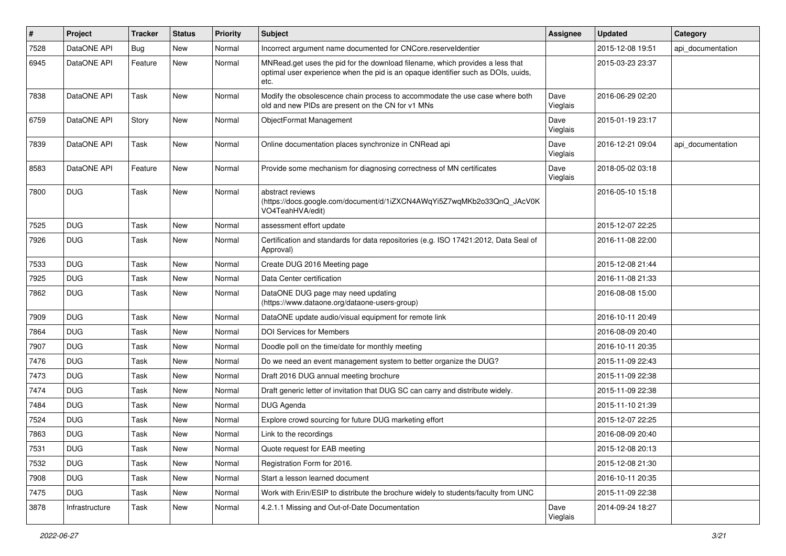| $\vert$ # | Project        | <b>Tracker</b> | <b>Status</b> | Priority | <b>Subject</b>                                                                                                                                                             | <b>Assignee</b>  | <b>Updated</b>   | Category          |
|-----------|----------------|----------------|---------------|----------|----------------------------------------------------------------------------------------------------------------------------------------------------------------------------|------------------|------------------|-------------------|
| 7528      | DataONE API    | <b>Bug</b>     | New           | Normal   | Incorrect argument name documented for CNCore.reserveldentier                                                                                                              |                  | 2015-12-08 19:51 | api_documentation |
| 6945      | DataONE API    | Feature        | New           | Normal   | MNRead.get uses the pid for the download filename, which provides a less that<br>optimal user experience when the pid is an opaque identifier such as DOIs, uuids,<br>etc. |                  | 2015-03-23 23:37 |                   |
| 7838      | DataONE API    | Task           | New           | Normal   | Modify the obsolescence chain process to accommodate the use case where both<br>old and new PIDs are present on the CN for v1 MNs                                          | Dave<br>Vieglais | 2016-06-29 02:20 |                   |
| 6759      | DataONE API    | Story          | New           | Normal   | ObjectFormat Management                                                                                                                                                    | Dave<br>Vieglais | 2015-01-19 23:17 |                   |
| 7839      | DataONE API    | Task           | New           | Normal   | Online documentation places synchronize in CNRead api                                                                                                                      | Dave<br>Vieglais | 2016-12-21 09:04 | api documentation |
| 8583      | DataONE API    | Feature        | New           | Normal   | Provide some mechanism for diagnosing correctness of MN certificates                                                                                                       | Dave<br>Vieglais | 2018-05-02 03:18 |                   |
| 7800      | <b>DUG</b>     | Task           | <b>New</b>    | Normal   | abstract reviews<br>(https://docs.google.com/document/d/1iZXCN4AWqYi5Z7wqMKb2o33QnQ_JAcV0K<br>VO4TeahHVA/edit)                                                             |                  | 2016-05-10 15:18 |                   |
| 7525      | <b>DUG</b>     | Task           | New           | Normal   | assessment effort update                                                                                                                                                   |                  | 2015-12-07 22:25 |                   |
| 7926      | <b>DUG</b>     | Task           | New           | Normal   | Certification and standards for data repositories (e.g. ISO 17421:2012, Data Seal of<br>Approval)                                                                          |                  | 2016-11-08 22:00 |                   |
| 7533      | <b>DUG</b>     | Task           | New           | Normal   | Create DUG 2016 Meeting page                                                                                                                                               |                  | 2015-12-08 21:44 |                   |
| 7925      | <b>DUG</b>     | Task           | New           | Normal   | Data Center certification                                                                                                                                                  |                  | 2016-11-08 21:33 |                   |
| 7862      | <b>DUG</b>     | Task           | New           | Normal   | DataONE DUG page may need updating<br>(https://www.dataone.org/dataone-users-group)                                                                                        |                  | 2016-08-08 15:00 |                   |
| 7909      | <b>DUG</b>     | Task           | New           | Normal   | DataONE update audio/visual equipment for remote link                                                                                                                      |                  | 2016-10-11 20:49 |                   |
| 7864      | <b>DUG</b>     | Task           | <b>New</b>    | Normal   | <b>DOI Services for Members</b>                                                                                                                                            |                  | 2016-08-09 20:40 |                   |
| 7907      | <b>DUG</b>     | Task           | New           | Normal   | Doodle poll on the time/date for monthly meeting                                                                                                                           |                  | 2016-10-11 20:35 |                   |
| 7476      | <b>DUG</b>     | Task           | New           | Normal   | Do we need an event management system to better organize the DUG?                                                                                                          |                  | 2015-11-09 22:43 |                   |
| 7473      | <b>DUG</b>     | Task           | New           | Normal   | Draft 2016 DUG annual meeting brochure                                                                                                                                     |                  | 2015-11-09 22:38 |                   |
| 7474      | <b>DUG</b>     | Task           | New           | Normal   | Draft generic letter of invitation that DUG SC can carry and distribute widely.                                                                                            |                  | 2015-11-09 22:38 |                   |
| 7484      | <b>DUG</b>     | Task           | <b>New</b>    | Normal   | DUG Agenda                                                                                                                                                                 |                  | 2015-11-10 21:39 |                   |
| 7524      | <b>DUG</b>     | Task           | New           | Normal   | Explore crowd sourcing for future DUG marketing effort                                                                                                                     |                  | 2015-12-07 22:25 |                   |
| 7863      | <b>DUG</b>     | Task           | New           | Normal   | Link to the recordings                                                                                                                                                     |                  | 2016-08-09 20:40 |                   |
| 7531      | <b>DUG</b>     | Task           | New           | Normal   | Quote request for EAB meeting                                                                                                                                              |                  | 2015-12-08 20:13 |                   |
| 7532      | <b>DUG</b>     | Task           | New           | Normal   | Registration Form for 2016.                                                                                                                                                |                  | 2015-12-08 21:30 |                   |
| 7908      | <b>DUG</b>     | Task           | New           | Normal   | Start a lesson learned document                                                                                                                                            |                  | 2016-10-11 20:35 |                   |
| 7475      | <b>DUG</b>     | Task           | New           | Normal   | Work with Erin/ESIP to distribute the brochure widely to students/faculty from UNC                                                                                         |                  | 2015-11-09 22:38 |                   |
| 3878      | Infrastructure | Task           | New           | Normal   | 4.2.1.1 Missing and Out-of-Date Documentation                                                                                                                              | Dave<br>Vieglais | 2014-09-24 18:27 |                   |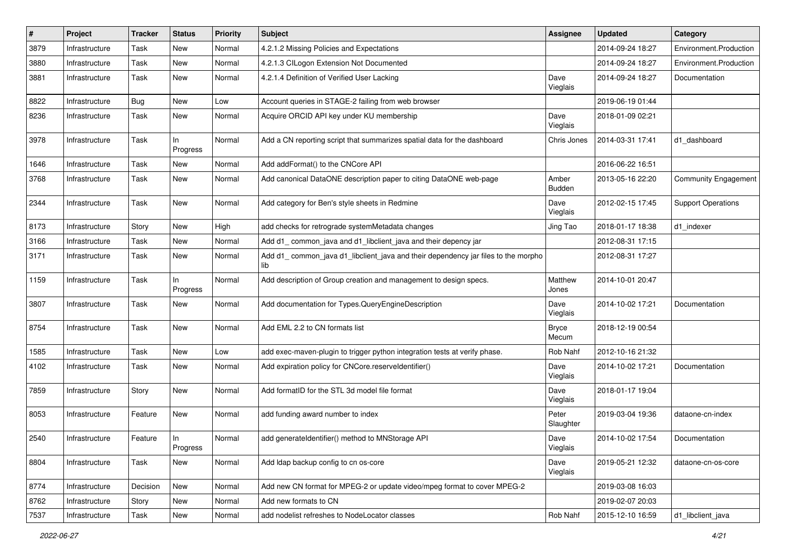| $\#$ | Project        | Tracker    | <b>Status</b>  | <b>Priority</b> | Subject                                                                                  | <b>Assignee</b>       | <b>Updated</b>   | Category                  |
|------|----------------|------------|----------------|-----------------|------------------------------------------------------------------------------------------|-----------------------|------------------|---------------------------|
| 3879 | Infrastructure | Task       | New            | Normal          | 4.2.1.2 Missing Policies and Expectations                                                |                       | 2014-09-24 18:27 | Environment.Production    |
| 3880 | Infrastructure | Task       | New            | Normal          | 4.2.1.3 CILogon Extension Not Documented                                                 |                       | 2014-09-24 18:27 | Environment.Production    |
| 3881 | Infrastructure | Task       | New            | Normal          | 4.2.1.4 Definition of Verified User Lacking                                              | Dave<br>Vieglais      | 2014-09-24 18:27 | Documentation             |
| 8822 | Infrastructure | <b>Bug</b> | New            | Low             | Account queries in STAGE-2 failing from web browser                                      |                       | 2019-06-19 01:44 |                           |
| 8236 | Infrastructure | Task       | New            | Normal          | Acquire ORCID API key under KU membership                                                | Dave<br>Vieglais      | 2018-01-09 02:21 |                           |
| 3978 | Infrastructure | Task       | In<br>Progress | Normal          | Add a CN reporting script that summarizes spatial data for the dashboard                 | Chris Jones           | 2014-03-31 17:41 | d1 dashboard              |
| 1646 | Infrastructure | Task       | New            | Normal          | Add addFormat() to the CNCore API                                                        |                       | 2016-06-22 16:51 |                           |
| 3768 | Infrastructure | Task       | New            | Normal          | Add canonical DataONE description paper to citing DataONE web-page                       | Amber<br>Budden       | 2013-05-16 22:20 | Community Engagement      |
| 2344 | Infrastructure | Task       | New            | Normal          | Add category for Ben's style sheets in Redmine                                           | Dave<br>Vieglais      | 2012-02-15 17:45 | <b>Support Operations</b> |
| 8173 | Infrastructure | Story      | New            | High            | add checks for retrograde systemMetadata changes                                         | Jing Tao              | 2018-01-17 18:38 | d1_indexer                |
| 3166 | Infrastructure | Task       | New            | Normal          | Add d1_common_java and d1_libclient_java and their depency jar                           |                       | 2012-08-31 17:15 |                           |
| 3171 | Infrastructure | Task       | New            | Normal          | Add d1_common_java d1_libclient_java and their dependency jar files to the morpho<br>lib |                       | 2012-08-31 17:27 |                           |
| 1159 | Infrastructure | Task       | In<br>Progress | Normal          | Add description of Group creation and management to design specs.                        | Matthew<br>Jones      | 2014-10-01 20:47 |                           |
| 3807 | Infrastructure | Task       | New            | Normal          | Add documentation for Types.QueryEngineDescription                                       | Dave<br>Vieglais      | 2014-10-02 17:21 | Documentation             |
| 8754 | Infrastructure | Task       | New            | Normal          | Add EML 2.2 to CN formats list                                                           | <b>Bryce</b><br>Mecum | 2018-12-19 00:54 |                           |
| 1585 | Infrastructure | Task       | New            | Low             | add exec-maven-plugin to trigger python integration tests at verify phase.               | Rob Nahf              | 2012-10-16 21:32 |                           |
| 4102 | Infrastructure | Task       | New            | Normal          | Add expiration policy for CNCore.reserveldentifier()                                     | Dave<br>Vieglais      | 2014-10-02 17:21 | Documentation             |
| 7859 | Infrastructure | Story      | New            | Normal          | Add formatID for the STL 3d model file format                                            | Dave<br>Vieglais      | 2018-01-17 19:04 |                           |
| 8053 | Infrastructure | Feature    | New            | Normal          | add funding award number to index                                                        | Peter<br>Slaughter    | 2019-03-04 19:36 | dataone-cn-index          |
| 2540 | Infrastructure | Feature    | In<br>Progress | Normal          | add generateIdentifier() method to MNStorage API                                         | Dave<br>Vieglais      | 2014-10-02 17:54 | Documentation             |
| 8804 | Infrastructure | Task       | New            | Normal          | Add Idap backup config to cn os-core                                                     | Dave<br>Vieglais      | 2019-05-21 12:32 | dataone-cn-os-core        |
| 8774 | Infrastructure | Decision   | New            | Normal          | Add new CN format for MPEG-2 or update video/mpeg format to cover MPEG-2                 |                       | 2019-03-08 16:03 |                           |
| 8762 | Infrastructure | Story      | New            | Normal          | Add new formats to CN                                                                    |                       | 2019-02-07 20:03 |                           |
| 7537 | Infrastructure | Task       | New            | Normal          | add nodelist refreshes to NodeLocator classes                                            | Rob Nahf              | 2015-12-10 16:59 | d1_libclient_java         |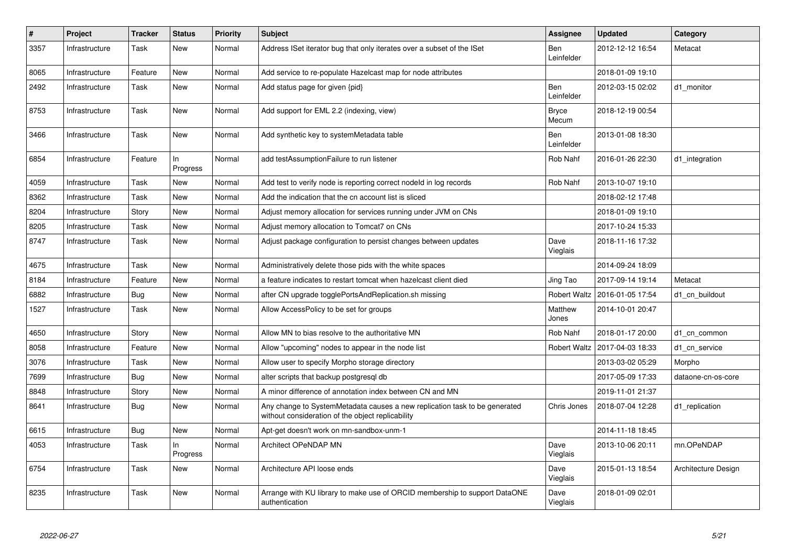| $\vert$ # | Project        | <b>Tracker</b> | <b>Status</b>   | <b>Priority</b> | <b>Subject</b>                                                                                                                  | Assignee                 | <b>Updated</b>   | Category            |
|-----------|----------------|----------------|-----------------|-----------------|---------------------------------------------------------------------------------------------------------------------------------|--------------------------|------------------|---------------------|
| 3357      | Infrastructure | Task           | New             | Normal          | Address ISet iterator bug that only iterates over a subset of the ISet                                                          | Ben<br>Leinfelder        | 2012-12-12 16:54 | Metacat             |
| 8065      | Infrastructure | Feature        | New             | Normal          | Add service to re-populate Hazelcast map for node attributes                                                                    |                          | 2018-01-09 19:10 |                     |
| 2492      | Infrastructure | Task           | New             | Normal          | Add status page for given {pid}                                                                                                 | <b>Ben</b><br>Leinfelder | 2012-03-15 02:02 | d1 monitor          |
| 8753      | Infrastructure | Task           | New             | Normal          | Add support for EML 2.2 (indexing, view)                                                                                        | <b>Bryce</b><br>Mecum    | 2018-12-19 00:54 |                     |
| 3466      | Infrastructure | Task           | New             | Normal          | Add synthetic key to systemMetadata table                                                                                       | <b>Ben</b><br>Leinfelder | 2013-01-08 18:30 |                     |
| 6854      | Infrastructure | Feature        | In.<br>Progress | Normal          | add testAssumptionFailure to run listener                                                                                       | Rob Nahf                 | 2016-01-26 22:30 | d1 integration      |
| 4059      | Infrastructure | Task           | New             | Normal          | Add test to verify node is reporting correct nodeld in log records                                                              | Rob Nahf                 | 2013-10-07 19:10 |                     |
| 8362      | Infrastructure | Task           | New             | Normal          | Add the indication that the cn account list is sliced                                                                           |                          | 2018-02-12 17:48 |                     |
| 8204      | Infrastructure | Story          | New             | Normal          | Adjust memory allocation for services running under JVM on CNs                                                                  |                          | 2018-01-09 19:10 |                     |
| 8205      | Infrastructure | Task           | New             | Normal          | Adjust memory allocation to Tomcat7 on CNs                                                                                      |                          | 2017-10-24 15:33 |                     |
| 8747      | Infrastructure | Task           | New             | Normal          | Adjust package configuration to persist changes between updates                                                                 | Dave<br>Vieglais         | 2018-11-16 17:32 |                     |
| 4675      | Infrastructure | Task           | New             | Normal          | Administratively delete those pids with the white spaces                                                                        |                          | 2014-09-24 18:09 |                     |
| 8184      | Infrastructure | Feature        | <b>New</b>      | Normal          | a feature indicates to restart tomcat when hazelcast client died                                                                | Jing Tao                 | 2017-09-14 19:14 | Metacat             |
| 6882      | Infrastructure | Bug            | New             | Normal          | after CN upgrade togglePortsAndReplication.sh missing                                                                           | <b>Robert Waltz</b>      | 2016-01-05 17:54 | d1 cn buildout      |
| 1527      | Infrastructure | Task           | New             | Normal          | Allow AccessPolicy to be set for groups                                                                                         | Matthew<br>Jones         | 2014-10-01 20:47 |                     |
| 4650      | Infrastructure | Story          | New             | Normal          | Allow MN to bias resolve to the authoritative MN                                                                                | Rob Nahf                 | 2018-01-17 20:00 | d1 cn common        |
| 8058      | Infrastructure | Feature        | <b>New</b>      | Normal          | Allow "upcoming" nodes to appear in the node list                                                                               | <b>Robert Waltz</b>      | 2017-04-03 18:33 | d1_cn_service       |
| 3076      | Infrastructure | Task           | New             | Normal          | Allow user to specify Morpho storage directory                                                                                  |                          | 2013-03-02 05:29 | Morpho              |
| 7699      | Infrastructure | <b>Bug</b>     | New             | Normal          | alter scripts that backup postgresql db                                                                                         |                          | 2017-05-09 17:33 | dataone-cn-os-core  |
| 8848      | Infrastructure | Story          | <b>New</b>      | Normal          | A minor difference of annotation index between CN and MN                                                                        |                          | 2019-11-01 21:37 |                     |
| 8641      | Infrastructure | <b>Bug</b>     | New             | Normal          | Any change to SystemMetadata causes a new replication task to be generated<br>without consideration of the object replicability | Chris Jones              | 2018-07-04 12:28 | d1 replication      |
| 6615      | Infrastructure | Bug            | New             | Normal          | Apt-get doesn't work on mn-sandbox-unm-1                                                                                        |                          | 2014-11-18 18:45 |                     |
| 4053      | Infrastructure | Task           | ln.<br>Progress | Normal          | <b>Architect OPeNDAP MN</b>                                                                                                     | Dave<br>Vieglais         | 2013-10-06 20:11 | mn.OPeNDAP          |
| 6754      | Infrastructure | Task           | New             | Normal          | Architecture API loose ends                                                                                                     | Dave<br>Vieglais         | 2015-01-13 18:54 | Architecture Design |
| 8235      | Infrastructure | Task           | <b>New</b>      | Normal          | Arrange with KU library to make use of ORCID membership to support DataONE<br>authentication                                    | Dave<br>Vieglais         | 2018-01-09 02:01 |                     |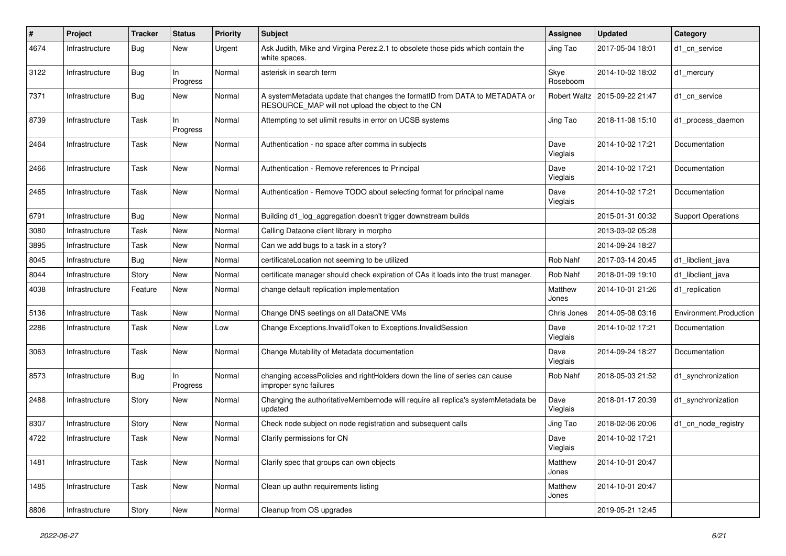| #    | <b>Project</b> | <b>Tracker</b> | <b>Status</b>  | <b>Priority</b> | <b>Subject</b>                                                                                                                  | Assignee         | <b>Updated</b>                  | Category                  |
|------|----------------|----------------|----------------|-----------------|---------------------------------------------------------------------------------------------------------------------------------|------------------|---------------------------------|---------------------------|
| 4674 | Infrastructure | <b>Bug</b>     | New            | Urgent          | Ask Judith, Mike and Virgina Perez.2.1 to obsolete those pids which contain the<br>white spaces.                                | Jing Tao         | 2017-05-04 18:01                | d1 cn service             |
| 3122 | Infrastructure | <b>Bug</b>     | In<br>Progress | Normal          | asterisk in search term                                                                                                         | Skye<br>Roseboom | 2014-10-02 18:02                | d1 mercury                |
| 7371 | Infrastructure | <b>Bug</b>     | <b>New</b>     | Normal          | A systemMetadata update that changes the formatID from DATA to METADATA or<br>RESOURCE_MAP will not upload the object to the CN |                  | Robert Waltz   2015-09-22 21:47 | d1 cn service             |
| 8739 | Infrastructure | Task           | In<br>Progress | Normal          | Attempting to set ulimit results in error on UCSB systems                                                                       | Jing Tao         | 2018-11-08 15:10                | d1_process_daemon         |
| 2464 | Infrastructure | Task           | New            | Normal          | Authentication - no space after comma in subjects                                                                               | Dave<br>Vieglais | 2014-10-02 17:21                | Documentation             |
| 2466 | Infrastructure | Task           | New            | Normal          | Authentication - Remove references to Principal                                                                                 | Dave<br>Vieglais | 2014-10-02 17:21                | Documentation             |
| 2465 | Infrastructure | Task           | <b>New</b>     | Normal          | Authentication - Remove TODO about selecting format for principal name                                                          | Dave<br>Vieglais | 2014-10-02 17:21                | Documentation             |
| 6791 | Infrastructure | <b>Bug</b>     | <b>New</b>     | Normal          | Building d1_log_aggregation doesn't trigger downstream builds                                                                   |                  | 2015-01-31 00:32                | <b>Support Operations</b> |
| 3080 | Infrastructure | Task           | <b>New</b>     | Normal          | Calling Dataone client library in morpho                                                                                        |                  | 2013-03-02 05:28                |                           |
| 3895 | Infrastructure | Task           | New            | Normal          | Can we add bugs to a task in a story?                                                                                           |                  | 2014-09-24 18:27                |                           |
| 8045 | Infrastructure | Bug            | <b>New</b>     | Normal          | certificateLocation not seeming to be utilized                                                                                  | Rob Nahf         | 2017-03-14 20:45                | d1 libclient java         |
| 8044 | Infrastructure | Story          | New            | Normal          | certificate manager should check expiration of CAs it loads into the trust manager.                                             | Rob Nahf         | 2018-01-09 19:10                | d1 libclient java         |
| 4038 | Infrastructure | Feature        | New            | Normal          | change default replication implementation                                                                                       | Matthew<br>Jones | 2014-10-01 21:26                | d1 replication            |
| 5136 | Infrastructure | Task           | New            | Normal          | Change DNS seetings on all DataONE VMs                                                                                          | Chris Jones      | 2014-05-08 03:16                | Environment.Production    |
| 2286 | Infrastructure | Task           | New            | Low             | Change Exceptions. Invalid Token to Exceptions. Invalid Session                                                                 | Dave<br>Vieglais | 2014-10-02 17:21                | Documentation             |
| 3063 | Infrastructure | Task           | New            | Normal          | Change Mutability of Metadata documentation                                                                                     | Dave<br>Vieglais | 2014-09-24 18:27                | Documentation             |
| 8573 | Infrastructure | <b>Bug</b>     | In<br>Progress | Normal          | changing accessPolicies and rightHolders down the line of series can cause<br>improper sync failures                            | Rob Nahf         | 2018-05-03 21:52                | d1_synchronization        |
| 2488 | Infrastructure | Story          | New            | Normal          | Changing the authoritativeMembernode will require all replica's systemMetadata be<br>updated                                    | Dave<br>Vieglais | 2018-01-17 20:39                | d1_synchronization        |
| 8307 | Infrastructure | Story          | <b>New</b>     | Normal          | Check node subject on node registration and subsequent calls                                                                    | Jing Tao         | 2018-02-06 20:06                | d1 cn node registry       |
| 4722 | Infrastructure | Task           | <b>New</b>     | Normal          | Clarify permissions for CN                                                                                                      | Dave<br>Vieglais | 2014-10-02 17:21                |                           |
| 1481 | Infrastructure | Task           | New            | Normal          | Clarify spec that groups can own objects                                                                                        | Matthew<br>Jones | 2014-10-01 20:47                |                           |
| 1485 | Infrastructure | Task           | New            | Normal          | Clean up authn requirements listing                                                                                             | Matthew<br>Jones | 2014-10-01 20:47                |                           |
| 8806 | Infrastructure | Story          | New            | Normal          | Cleanup from OS upgrades                                                                                                        |                  | 2019-05-21 12:45                |                           |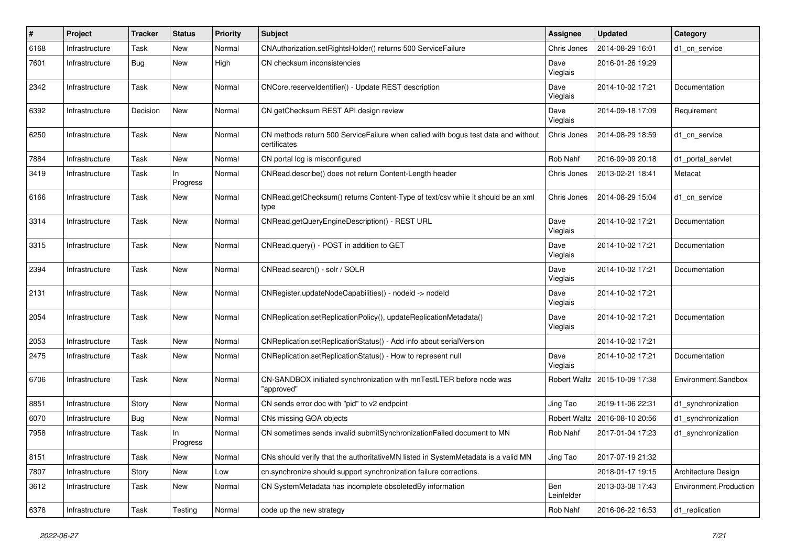| #    | Project        | <b>Tracker</b> | <b>Status</b>   | <b>Priority</b> | <b>Subject</b>                                                                                     | <b>Assignee</b>   | <b>Updated</b>                  | Category               |
|------|----------------|----------------|-----------------|-----------------|----------------------------------------------------------------------------------------------------|-------------------|---------------------------------|------------------------|
| 6168 | Infrastructure | Task           | New             | Normal          | CNAuthorization.setRightsHolder() returns 500 ServiceFailure                                       | Chris Jones       | 2014-08-29 16:01                | d1_cn_service          |
| 7601 | Infrastructure | Bug            | <b>New</b>      | High            | CN checksum inconsistencies                                                                        | Dave<br>Vieglais  | 2016-01-26 19:29                |                        |
| 2342 | Infrastructure | Task           | New             | Normal          | CNCore.reserveldentifier() - Update REST description                                               | Dave<br>Vieglais  | 2014-10-02 17:21                | Documentation          |
| 6392 | Infrastructure | Decision       | New             | Normal          | CN getChecksum REST API design review                                                              | Dave<br>Vieglais  | 2014-09-18 17:09                | Requirement            |
| 6250 | Infrastructure | Task           | New             | Normal          | CN methods return 500 Service Failure when called with bogus test data and without<br>certificates | Chris Jones       | 2014-08-29 18:59                | d1 cn service          |
| 7884 | Infrastructure | Task           | <b>New</b>      | Normal          | CN portal log is misconfigured                                                                     | Rob Nahf          | 2016-09-09 20:18                | d1_portal_servlet      |
| 3419 | Infrastructure | Task           | In<br>Progress  | Normal          | CNRead.describe() does not return Content-Length header                                            | Chris Jones       | 2013-02-21 18:41                | Metacat                |
| 6166 | Infrastructure | Task           | New             | Normal          | CNRead.getChecksum() returns Content-Type of text/csv while it should be an xml<br>type            | Chris Jones       | 2014-08-29 15:04                | d1 cn service          |
| 3314 | Infrastructure | Task           | New             | Normal          | CNRead.getQueryEngineDescription() - REST URL                                                      | Dave<br>Vieglais  | 2014-10-02 17:21                | Documentation          |
| 3315 | Infrastructure | Task           | <b>New</b>      | Normal          | CNRead.query() - POST in addition to GET                                                           | Dave<br>Vieglais  | 2014-10-02 17:21                | Documentation          |
| 2394 | Infrastructure | Task           | New             | Normal          | CNRead.search() - solr / SOLR                                                                      | Dave<br>Vieglais  | 2014-10-02 17:21                | Documentation          |
| 2131 | Infrastructure | Task           | New             | Normal          | CNRegister.updateNodeCapabilities() - nodeid -> nodeld                                             | Dave<br>Vieglais  | 2014-10-02 17:21                |                        |
| 2054 | Infrastructure | Task           | New             | Normal          | CNReplication.setReplicationPolicy(), updateReplicationMetadata()                                  | Dave<br>Vieglais  | 2014-10-02 17:21                | Documentation          |
| 2053 | Infrastructure | Task           | <b>New</b>      | Normal          | CNReplication.setReplicationStatus() - Add info about serialVersion                                |                   | 2014-10-02 17:21                |                        |
| 2475 | Infrastructure | Task           | New             | Normal          | CNReplication.setReplicationStatus() - How to represent null                                       | Dave<br>Vieglais  | 2014-10-02 17:21                | Documentation          |
| 6706 | Infrastructure | Task           | <b>New</b>      | Normal          | CN-SANDBOX initiated synchronization with mnTestLTER before node was<br>"approved"                 |                   | Robert Waltz   2015-10-09 17:38 | Environment.Sandbox    |
| 8851 | Infrastructure | Story          | <b>New</b>      | Normal          | CN sends error doc with "pid" to v2 endpoint                                                       | Jing Tao          | 2019-11-06 22:31                | d1_synchronization     |
| 6070 | Infrastructure | <b>Bug</b>     | New             | Normal          | CNs missing GOA objects                                                                            | Robert Waltz      | 2016-08-10 20:56                | d1 synchronization     |
| 7958 | Infrastructure | Task           | In.<br>Progress | Normal          | CN sometimes sends invalid submitSynchronizationFailed document to MN                              | Rob Nahf          | 2017-01-04 17:23                | d1_synchronization     |
| 8151 | Infrastructure | Task           | New             | Normal          | CNs should verify that the authoritativeMN listed in SystemMetadata is a valid MN                  | Jing Tao          | 2017-07-19 21:32                |                        |
| 7807 | Infrastructure | Story          | New             | Low             | cn.synchronize should support synchronization failure corrections.                                 |                   | 2018-01-17 19:15                | Architecture Design    |
| 3612 | Infrastructure | Task           | New             | Normal          | CN SystemMetadata has incomplete obsoletedBy information                                           | Ben<br>Leinfelder | 2013-03-08 17:43                | Environment.Production |
| 6378 | Infrastructure | Task           | Testing         | Normal          | code up the new strategy                                                                           | Rob Nahf          | 2016-06-22 16:53                | d1_replication         |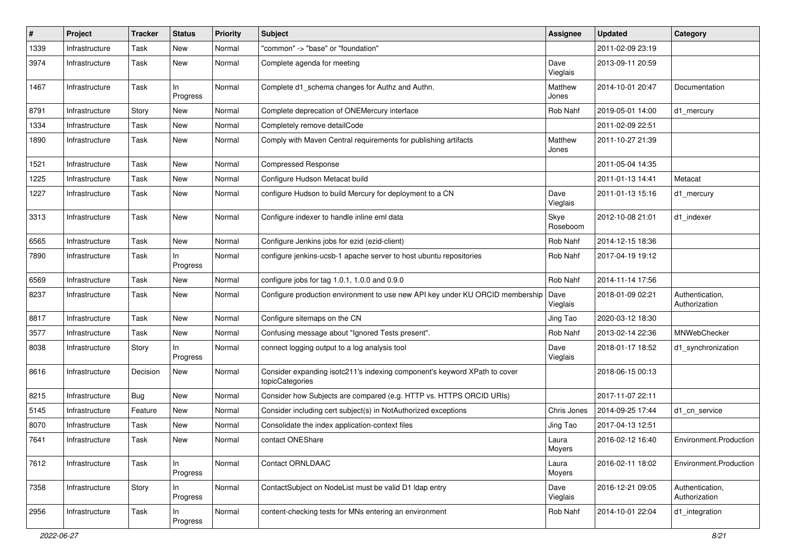| $\pmb{\#}$ | Project        | <b>Tracker</b> | <b>Status</b>   | <b>Priority</b> | <b>Subject</b>                                                                               | Assignee         | <b>Updated</b>   | Category                         |
|------------|----------------|----------------|-----------------|-----------------|----------------------------------------------------------------------------------------------|------------------|------------------|----------------------------------|
| 1339       | Infrastructure | Task           | New             | Normal          | "common" -> "base" or "foundation"                                                           |                  | 2011-02-09 23:19 |                                  |
| 3974       | Infrastructure | Task           | <b>New</b>      | Normal          | Complete agenda for meeting                                                                  | Dave<br>Vieglais | 2013-09-11 20:59 |                                  |
| 1467       | Infrastructure | Task           | In<br>Progress  | Normal          | Complete d1_schema changes for Authz and Authn.                                              | Matthew<br>Jones | 2014-10-01 20:47 | Documentation                    |
| 8791       | Infrastructure | Story          | New             | Normal          | Complete deprecation of ONEMercury interface                                                 | Rob Nahf         | 2019-05-01 14:00 | d1 mercury                       |
| 1334       | Infrastructure | Task           | <b>New</b>      | Normal          | Completely remove detailCode                                                                 |                  | 2011-02-09 22:51 |                                  |
| 1890       | Infrastructure | Task           | New             | Normal          | Comply with Maven Central requirements for publishing artifacts                              | Matthew<br>Jones | 2011-10-27 21:39 |                                  |
| 1521       | Infrastructure | Task           | <b>New</b>      | Normal          | <b>Compressed Response</b>                                                                   |                  | 2011-05-04 14:35 |                                  |
| 1225       | Infrastructure | Task           | New             | Normal          | Configure Hudson Metacat build                                                               |                  | 2011-01-13 14:41 | Metacat                          |
| 1227       | Infrastructure | Task           | New             | Normal          | configure Hudson to build Mercury for deployment to a CN                                     | Dave<br>Vieglais | 2011-01-13 15:16 | d1_mercury                       |
| 3313       | Infrastructure | Task           | New             | Normal          | Configure indexer to handle inline eml data                                                  | Skye<br>Roseboom | 2012-10-08 21:01 | d1_indexer                       |
| 6565       | Infrastructure | Task           | <b>New</b>      | Normal          | Configure Jenkins jobs for ezid (ezid-client)                                                | Rob Nahf         | 2014-12-15 18:36 |                                  |
| 7890       | Infrastructure | Task           | In<br>Progress  | Normal          | configure jenkins-ucsb-1 apache server to host ubuntu repositories                           | Rob Nahf         | 2017-04-19 19:12 |                                  |
| 6569       | Infrastructure | Task           | New             | Normal          | configure jobs for tag $1.0.1$ , $1.0.0$ and $0.9.0$                                         | Rob Nahf         | 2014-11-14 17:56 |                                  |
| 8237       | Infrastructure | Task           | New             | Normal          | Configure production environment to use new API key under KU ORCID membership                | Dave<br>Vieglais | 2018-01-09 02:21 | Authentication,<br>Authorization |
| 8817       | Infrastructure | Task           | New             | Normal          | Configure sitemaps on the CN                                                                 | Jing Tao         | 2020-03-12 18:30 |                                  |
| 3577       | Infrastructure | Task           | <b>New</b>      | Normal          | Confusing message about "Ignored Tests present".                                             | Rob Nahf         | 2013-02-14 22:36 | MNWebChecker                     |
| 8038       | Infrastructure | Story          | In<br>Progress  | Normal          | connect logging output to a log analysis tool                                                | Dave<br>Vieglais | 2018-01-17 18:52 | d1_synchronization               |
| 8616       | Infrastructure | Decision       | New             | Normal          | Consider expanding isotc211's indexing component's keyword XPath to cover<br>topicCategories |                  | 2018-06-15 00:13 |                                  |
| 8215       | Infrastructure | <b>Bug</b>     | <b>New</b>      | Normal          | Consider how Subjects are compared (e.g. HTTP vs. HTTPS ORCID URIs)                          |                  | 2017-11-07 22:11 |                                  |
| 5145       | Infrastructure | Feature        | <b>New</b>      | Normal          | Consider including cert subject(s) in NotAuthorized exceptions                               | Chris Jones      | 2014-09-25 17:44 | d1 cn service                    |
| 8070       | Infrastructure | Task           | New             | Normal          | Consolidate the index application-context files                                              | Jing Tao         | 2017-04-13 12:51 |                                  |
| 7641       | Infrastructure | Task           | New             | Normal          | contact ONEShare                                                                             | Laura<br>Moyers  | 2016-02-12 16:40 | Environment.Production           |
| 7612       | Infrastructure | Task           | In.<br>Progress | Normal          | Contact ORNLDAAC                                                                             | Laura<br>Moyers  | 2016-02-11 18:02 | Environment.Production           |
| 7358       | Infrastructure | Story          | In<br>Progress  | Normal          | ContactSubject on NodeList must be valid D1 Idap entry                                       | Dave<br>Vieglais | 2016-12-21 09:05 | Authentication,<br>Authorization |
| 2956       | Infrastructure | Task           | In.<br>Progress | Normal          | content-checking tests for MNs entering an environment                                       | Rob Nahf         | 2014-10-01 22:04 | d1_integration                   |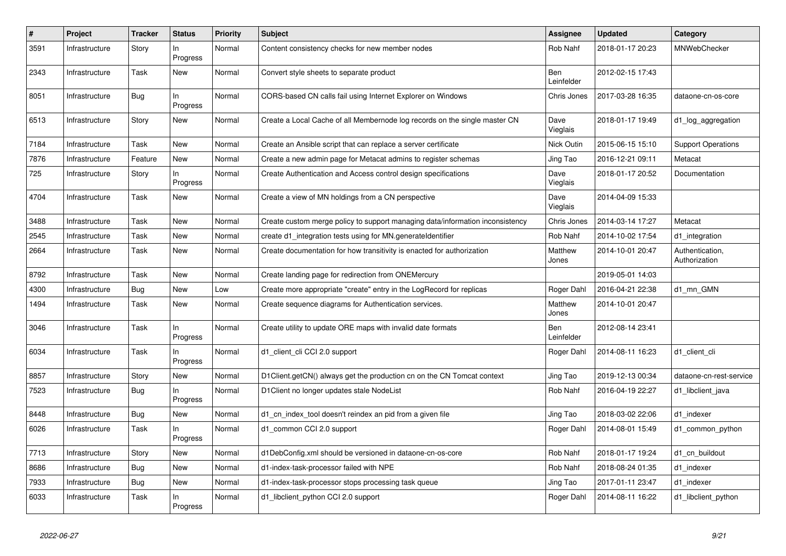| $\#$ | Project        | <b>Tracker</b> | <b>Status</b>   | <b>Priority</b> | <b>Subject</b>                                                                | <b>Assignee</b>   | <b>Updated</b>   | Category                         |
|------|----------------|----------------|-----------------|-----------------|-------------------------------------------------------------------------------|-------------------|------------------|----------------------------------|
| 3591 | Infrastructure | Story          | In<br>Progress  | Normal          | Content consistency checks for new member nodes                               | Rob Nahf          | 2018-01-17 20:23 | MNWebChecker                     |
| 2343 | Infrastructure | Task           | New             | Normal          | Convert style sheets to separate product                                      | Ben<br>Leinfelder | 2012-02-15 17:43 |                                  |
| 8051 | Infrastructure | <b>Bug</b>     | In<br>Progress  | Normal          | CORS-based CN calls fail using Internet Explorer on Windows                   | Chris Jones       | 2017-03-28 16:35 | dataone-cn-os-core               |
| 6513 | Infrastructure | Story          | New             | Normal          | Create a Local Cache of all Membernode log records on the single master CN    | Dave<br>Vieglais  | 2018-01-17 19:49 | d1_log_aggregation               |
| 7184 | Infrastructure | Task           | <b>New</b>      | Normal          | Create an Ansible script that can replace a server certificate                | Nick Outin        | 2015-06-15 15:10 | <b>Support Operations</b>        |
| 7876 | Infrastructure | Feature        | New             | Normal          | Create a new admin page for Metacat admins to register schemas                | Jing Tao          | 2016-12-21 09:11 | Metacat                          |
| 725  | Infrastructure | Story          | In<br>Progress  | Normal          | Create Authentication and Access control design specifications                | Dave<br>Vieglais  | 2018-01-17 20:52 | Documentation                    |
| 4704 | Infrastructure | Task           | <b>New</b>      | Normal          | Create a view of MN holdings from a CN perspective                            | Dave<br>Vieglais  | 2014-04-09 15:33 |                                  |
| 3488 | Infrastructure | Task           | New             | Normal          | Create custom merge policy to support managing data/information inconsistency | Chris Jones       | 2014-03-14 17:27 | Metacat                          |
| 2545 | Infrastructure | Task           | New             | Normal          | create d1_integration tests using for MN.generateIdentifier                   | Rob Nahf          | 2014-10-02 17:54 | d1 integration                   |
| 2664 | Infrastructure | Task           | <b>New</b>      | Normal          | Create documentation for how transitivity is enacted for authorization        | Matthew<br>Jones  | 2014-10-01 20:47 | Authentication,<br>Authorization |
| 8792 | Infrastructure | Task           | New             | Normal          | Create landing page for redirection from ONEMercury                           |                   | 2019-05-01 14:03 |                                  |
| 4300 | Infrastructure | <b>Bug</b>     | New             | Low             | Create more appropriate "create" entry in the LogRecord for replicas          | Roger Dahl        | 2016-04-21 22:38 | d1 mn GMN                        |
| 1494 | Infrastructure | Task           | New             | Normal          | Create sequence diagrams for Authentication services.                         | Matthew<br>Jones  | 2014-10-01 20:47 |                                  |
| 3046 | Infrastructure | Task           | In<br>Progress  | Normal          | Create utility to update ORE maps with invalid date formats                   | Ben<br>Leinfelder | 2012-08-14 23:41 |                                  |
| 6034 | Infrastructure | Task           | In.<br>Progress | Normal          | d1_client_cli CCI 2.0 support                                                 | Roger Dahl        | 2014-08-11 16:23 | d1 client cli                    |
| 8857 | Infrastructure | Story          | New             | Normal          | D1Client.getCN() always get the production cn on the CN Tomcat context        | Jing Tao          | 2019-12-13 00:34 | dataone-cn-rest-service          |
| 7523 | Infrastructure | <b>Bug</b>     | In<br>Progress  | Normal          | D1Client no longer updates stale NodeList                                     | Rob Nahf          | 2016-04-19 22:27 | d1 libclient java                |
| 8448 | Infrastructure | Bug            | <b>New</b>      | Normal          | d1 cn index tool doesn't reindex an pid from a given file                     | Jing Tao          | 2018-03-02 22:06 | d1 indexer                       |
| 6026 | Infrastructure | Task           | In.<br>Progress | Normal          | d1_common CCI 2.0 support                                                     | Roger Dahl        | 2014-08-01 15:49 | d1 common python                 |
| 7713 | Infrastructure | Story          | New             | Normal          | d1DebConfig.xml should be versioned in dataone-cn-os-core                     | Rob Nahf          | 2018-01-17 19:24 | d1 cn buildout                   |
| 8686 | Infrastructure | Bug            | New             | Normal          | d1-index-task-processor failed with NPE                                       | Rob Nahf          | 2018-08-24 01:35 | d1 indexer                       |
| 7933 | Infrastructure | <b>Bug</b>     | New             | Normal          | d1-index-task-processor stops processing task queue                           | Jing Tao          | 2017-01-11 23:47 | d1 indexer                       |
| 6033 | Infrastructure | Task           | In<br>Progress  | Normal          | d1_libclient_python CCI 2.0 support                                           | Roger Dahl        | 2014-08-11 16:22 | d1_libclient_python              |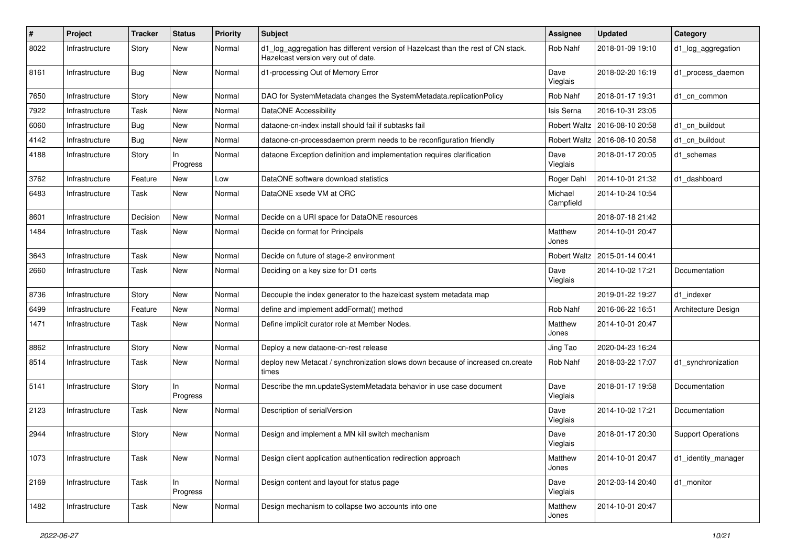| #    | <b>Project</b> | <b>Tracker</b> | <b>Status</b>   | <b>Priority</b> | Subject                                                                                                                 | Assignee             | <b>Updated</b>                  | Category                  |
|------|----------------|----------------|-----------------|-----------------|-------------------------------------------------------------------------------------------------------------------------|----------------------|---------------------------------|---------------------------|
| 8022 | Infrastructure | Story          | New             | Normal          | d1_log_aggregation has different version of Hazelcast than the rest of CN stack.<br>Hazelcast version very out of date. | Rob Nahf             | 2018-01-09 19:10                | d1_log_aggregation        |
| 8161 | Infrastructure | <b>Bug</b>     | New             | Normal          | d1-processing Out of Memory Error                                                                                       | Dave<br>Vieglais     | 2018-02-20 16:19                | d1_process_daemon         |
| 7650 | Infrastructure | Story          | New             | Normal          | DAO for SystemMetadata changes the SystemMetadata.replicationPolicy                                                     | Rob Nahf             | 2018-01-17 19:31                | d1 cn common              |
| 7922 | Infrastructure | Task           | New             | Normal          | <b>DataONE Accessibility</b>                                                                                            | Isis Serna           | 2016-10-31 23:05                |                           |
| 6060 | Infrastructure | Bug            | New             | Normal          | dataone-cn-index install should fail if subtasks fail                                                                   |                      | Robert Waltz   2016-08-10 20:58 | d1_cn_buildout            |
| 4142 | Infrastructure | Bug            | New             | Normal          | dataone-cn-processdaemon prerm needs to be reconfiguration friendly                                                     |                      | Robert Waltz   2016-08-10 20:58 | d1 cn buildout            |
| 4188 | Infrastructure | Story          | In.<br>Progress | Normal          | dataone Exception definition and implementation requires clarification                                                  | Dave<br>Vieglais     | 2018-01-17 20:05                | d1_schemas                |
| 3762 | Infrastructure | Feature        | New             | Low             | DataONE software download statistics                                                                                    | Roger Dahl           | 2014-10-01 21:32                | d1_dashboard              |
| 6483 | Infrastructure | Task           | New             | Normal          | DataONE xsede VM at ORC                                                                                                 | Michael<br>Campfield | 2014-10-24 10:54                |                           |
| 8601 | Infrastructure | Decision       | New             | Normal          | Decide on a URI space for DataONE resources                                                                             |                      | 2018-07-18 21:42                |                           |
| 1484 | Infrastructure | Task           | New             | Normal          | Decide on format for Principals                                                                                         | Matthew<br>Jones     | 2014-10-01 20:47                |                           |
| 3643 | Infrastructure | Task           | New             | Normal          | Decide on future of stage-2 environment                                                                                 | Robert Waltz         | 2015-01-14 00:41                |                           |
| 2660 | Infrastructure | Task           | New             | Normal          | Deciding on a key size for D1 certs                                                                                     | Dave<br>Vieglais     | 2014-10-02 17:21                | Documentation             |
| 8736 | Infrastructure | Story          | New             | Normal          | Decouple the index generator to the hazelcast system metadata map                                                       |                      | 2019-01-22 19:27                | d1_indexer                |
| 6499 | Infrastructure | Feature        | New             | Normal          | define and implement addFormat() method                                                                                 | Rob Nahf             | 2016-06-22 16:51                | Architecture Design       |
| 1471 | Infrastructure | Task           | New             | Normal          | Define implicit curator role at Member Nodes.                                                                           | Matthew<br>Jones     | 2014-10-01 20:47                |                           |
| 8862 | Infrastructure | Story          | New             | Normal          | Deploy a new dataone-cn-rest release                                                                                    | Jing Tao             | 2020-04-23 16:24                |                           |
| 8514 | Infrastructure | Task           | New             | Normal          | deploy new Metacat / synchronization slows down because of increased cn.create<br>times                                 | Rob Nahf             | 2018-03-22 17:07                | d1_synchronization        |
| 5141 | Infrastructure | Story          | In.<br>Progress | Normal          | Describe the mn.updateSystemMetadata behavior in use case document                                                      | Dave<br>Vieglais     | 2018-01-17 19:58                | Documentation             |
| 2123 | Infrastructure | Task           | New             | Normal          | Description of serialVersion                                                                                            | Dave<br>Vieglais     | 2014-10-02 17:21                | Documentation             |
| 2944 | Infrastructure | Story          | New             | Normal          | Design and implement a MN kill switch mechanism                                                                         | Dave<br>Vieglais     | 2018-01-17 20:30                | <b>Support Operations</b> |
| 1073 | Infrastructure | Task           | New             | Normal          | Design client application authentication redirection approach                                                           | Matthew<br>Jones     | 2014-10-01 20:47                | d1_identity_manager       |
| 2169 | Infrastructure | Task           | In<br>Progress  | Normal          | Design content and layout for status page                                                                               | Dave<br>Vieglais     | 2012-03-14 20:40                | d1_monitor                |
| 1482 | Infrastructure | Task           | New             | Normal          | Design mechanism to collapse two accounts into one                                                                      | Matthew<br>Jones     | 2014-10-01 20:47                |                           |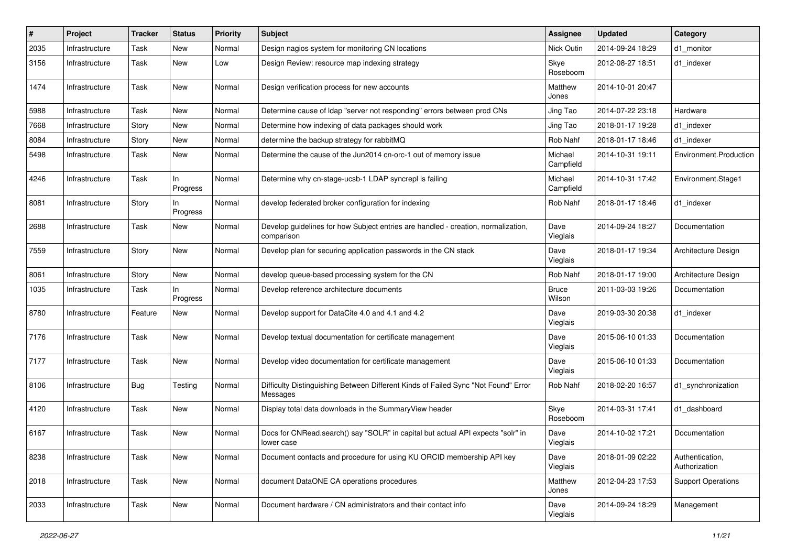| $\#$ | Project        | Tracker     | <b>Status</b>   | <b>Priority</b> | <b>Subject</b>                                                                                  | <b>Assignee</b>        | <b>Updated</b>   | Category                         |
|------|----------------|-------------|-----------------|-----------------|-------------------------------------------------------------------------------------------------|------------------------|------------------|----------------------------------|
| 2035 | Infrastructure | Task        | New             | Normal          | Design nagios system for monitoring CN locations                                                | Nick Outin             | 2014-09-24 18:29 | d1 monitor                       |
| 3156 | Infrastructure | Task        | New             | Low             | Design Review: resource map indexing strategy                                                   | Skye<br>Roseboom       | 2012-08-27 18:51 | d1 indexer                       |
| 1474 | Infrastructure | Task        | New             | Normal          | Design verification process for new accounts                                                    | Matthew<br>Jones       | 2014-10-01 20:47 |                                  |
| 5988 | Infrastructure | Task        | New             | Normal          | Determine cause of Idap "server not responding" errors between prod CNs                         | Jing Tao               | 2014-07-22 23:18 | Hardware                         |
| 7668 | Infrastructure | Story       | New             | Normal          | Determine how indexing of data packages should work                                             | Jing Tao               | 2018-01-17 19:28 | d1 indexer                       |
| 8084 | Infrastructure | Story       | New             | Normal          | determine the backup strategy for rabbitMQ                                                      | Rob Nahf               | 2018-01-17 18:46 | d1 indexer                       |
| 5498 | Infrastructure | Task        | New             | Normal          | Determine the cause of the Jun2014 cn-orc-1 out of memory issue                                 | Michael<br>Campfield   | 2014-10-31 19:11 | Environment.Production           |
| 4246 | Infrastructure | Task        | In<br>Progress  | Normal          | Determine why cn-stage-ucsb-1 LDAP syncrepl is failing                                          | Michael<br>Campfield   | 2014-10-31 17:42 | Environment.Stage1               |
| 8081 | Infrastructure | Story       | ln.<br>Progress | Normal          | develop federated broker configuration for indexing                                             | Rob Nahf               | 2018-01-17 18:46 | d1_indexer                       |
| 2688 | Infrastructure | Task        | New             | Normal          | Develop guidelines for how Subject entries are handled - creation, normalization,<br>comparison | Dave<br>Vieglais       | 2014-09-24 18:27 | Documentation                    |
| 7559 | Infrastructure | Story       | New             | Normal          | Develop plan for securing application passwords in the CN stack                                 | Dave<br>Vieglais       | 2018-01-17 19:34 | Architecture Design              |
| 8061 | Infrastructure | Story       | New             | Normal          | develop queue-based processing system for the CN                                                | Rob Nahf               | 2018-01-17 19:00 | Architecture Design              |
| 1035 | Infrastructure | Task        | In<br>Progress  | Normal          | Develop reference architecture documents                                                        | <b>Bruce</b><br>Wilson | 2011-03-03 19:26 | Documentation                    |
| 8780 | Infrastructure | Feature     | New             | Normal          | Develop support for DataCite 4.0 and 4.1 and 4.2                                                | Dave<br>Vieglais       | 2019-03-30 20:38 | d1_indexer                       |
| 7176 | Infrastructure | Task        | New             | Normal          | Develop textual documentation for certificate management                                        | Dave<br>Vieglais       | 2015-06-10 01:33 | Documentation                    |
| 7177 | Infrastructure | Task        | New             | Normal          | Develop video documentation for certificate management                                          | Dave<br>Vieglais       | 2015-06-10 01:33 | Documentation                    |
| 8106 | Infrastructure | Bug         | Testing         | Normal          | Difficulty Distinguishing Between Different Kinds of Failed Sync "Not Found" Error<br>Messages  | Rob Nahf               | 2018-02-20 16:57 | d1_synchronization               |
| 4120 | Infrastructure | <b>Task</b> | New             | Normal          | Display total data downloads in the SummaryView header                                          | Skye<br>Roseboom       | 2014-03-31 17:41 | d1 dashboard                     |
| 6167 | Infrastructure | Task        | New             | Normal          | Docs for CNRead.search() say "SOLR" in capital but actual API expects "solr" in<br>lower case   | Dave<br>Vieglais       | 2014-10-02 17:21 | Documentation                    |
| 8238 | Infrastructure | Task        | New             | Normal          | Document contacts and procedure for using KU ORCID membership API key                           | Dave<br>Vieglais       | 2018-01-09 02:22 | Authentication,<br>Authorization |
| 2018 | Infrastructure | Task        | New             | Normal          | document DataONE CA operations procedures                                                       | Matthew<br>Jones       | 2012-04-23 17:53 | <b>Support Operations</b>        |
| 2033 | Infrastructure | Task        | New             | Normal          | Document hardware / CN administrators and their contact info                                    | Dave<br>Vieglais       | 2014-09-24 18:29 | Management                       |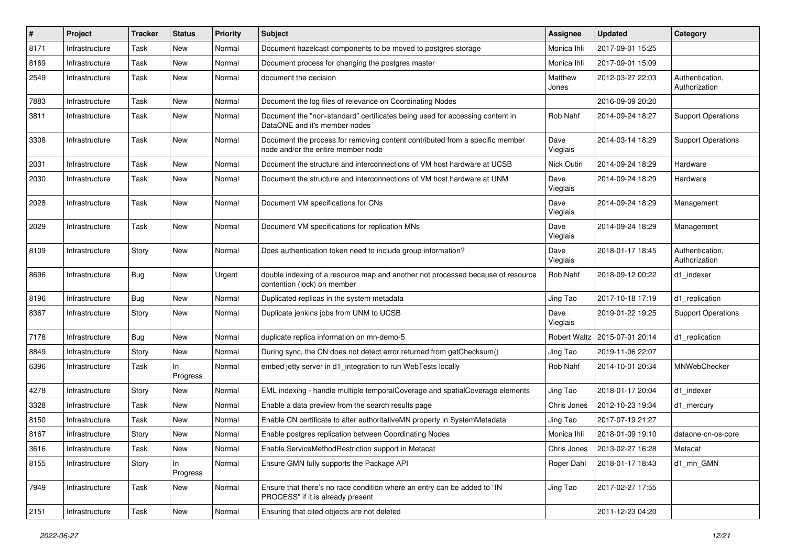| #    | Project        | Tracker | <b>Status</b>  | <b>Priority</b> | <b>Subject</b>                                                                                                     | Assignee            | <b>Updated</b>   | Category                         |
|------|----------------|---------|----------------|-----------------|--------------------------------------------------------------------------------------------------------------------|---------------------|------------------|----------------------------------|
| 8171 | Infrastructure | Task    | New            | Normal          | Document hazelcast components to be moved to postgres storage                                                      | Monica Ihli         | 2017-09-01 15:25 |                                  |
| 8169 | Infrastructure | Task    | New            | Normal          | Document process for changing the postgres master                                                                  | Monica Ihli         | 2017-09-01 15:09 |                                  |
| 2549 | Infrastructure | Task    | New            | Normal          | document the decision                                                                                              | Matthew<br>Jones    | 2012-03-27 22:03 | Authentication,<br>Authorization |
| 7883 | Infrastructure | Task    | New            | Normal          | Document the log files of relevance on Coordinating Nodes                                                          |                     | 2016-09-09 20:20 |                                  |
| 3811 | Infrastructure | Task    | New            | Normal          | Document the "non-standard" certificates being used for accessing content in<br>DataONE and it's member nodes      | Rob Nahf            | 2014-09-24 18:27 | <b>Support Operations</b>        |
| 3308 | Infrastructure | Task    | New            | Normal          | Document the process for removing content contributed from a specific member<br>node and/or the entire member node | Dave<br>Vieglais    | 2014-03-14 18:29 | <b>Support Operations</b>        |
| 2031 | Infrastructure | Task    | <b>New</b>     | Normal          | Document the structure and interconnections of VM host hardware at UCSB                                            | <b>Nick Outin</b>   | 2014-09-24 18:29 | Hardware                         |
| 2030 | Infrastructure | Task    | New            | Normal          | Document the structure and interconnections of VM host hardware at UNM                                             | Dave<br>Vieglais    | 2014-09-24 18:29 | Hardware                         |
| 2028 | Infrastructure | Task    | New            | Normal          | Document VM specifications for CNs                                                                                 | Dave<br>Vieglais    | 2014-09-24 18:29 | Management                       |
| 2029 | Infrastructure | Task    | New            | Normal          | Document VM specifications for replication MNs                                                                     | Dave<br>Vieglais    | 2014-09-24 18:29 | Management                       |
| 8109 | Infrastructure | Story   | New            | Normal          | Does authentication token need to include group information?                                                       | Dave<br>Vieglais    | 2018-01-17 18:45 | Authentication,<br>Authorization |
| 8696 | Infrastructure | Bug     | New            | Urgent          | double indexing of a resource map and another not processed because of resource<br>contention (lock) on member     | Rob Nahf            | 2018-09-12 00:22 | d1 indexer                       |
| 8196 | Infrastructure | Bug     | <b>New</b>     | Normal          | Duplicated replicas in the system metadata                                                                         | Jing Tao            | 2017-10-18 17:19 | d1_replication                   |
| 8367 | Infrastructure | Story   | New            | Normal          | Duplicate jenkins jobs from UNM to UCSB                                                                            | Dave<br>Vieglais    | 2019-01-22 19:25 | <b>Support Operations</b>        |
| 7178 | Infrastructure | Bug     | New            | Normal          | duplicate replica information on mn-demo-5                                                                         | <b>Robert Waltz</b> | 2015-07-01 20:14 | d1_replication                   |
| 8849 | Infrastructure | Story   | New            | Normal          | During sync, the CN does not detect error returned from getChecksum()                                              | Jing Tao            | 2019-11-06 22:07 |                                  |
| 6396 | Infrastructure | Task    | In<br>Progress | Normal          | embed jetty server in d1_integration to run WebTests locally                                                       | Rob Nahf            | 2014-10-01 20:34 | MNWebChecker                     |
| 4278 | Infrastructure | Story   | New            | Normal          | EML indexing - handle multiple temporalCoverage and spatialCoverage elements                                       | Jing Tao            | 2018-01-17 20:04 | d1_indexer                       |
| 3328 | Infrastructure | Task    | New            | Normal          | Enable a data preview from the search results page                                                                 | Chris Jones         | 2012-10-23 19:34 | d1 mercury                       |
| 8150 | Infrastructure | Task    | New            | Normal          | Enable CN certificate to alter authoritativeMN property in SystemMetadata                                          | Jing Tao            | 2017-07-19 21:27 |                                  |
| 8167 | Infrastructure | Story   | New            | Normal          | Enable postgres replication between Coordinating Nodes                                                             | Monica Ihli         | 2018-01-09 19:10 | dataone-cn-os-core               |
| 3616 | Infrastructure | Task    | New            | Normal          | Enable ServiceMethodRestriction support in Metacat                                                                 | Chris Jones         | 2013-02-27 16:28 | Metacat                          |
| 8155 | Infrastructure | Story   | In<br>Progress | Normal          | Ensure GMN fully supports the Package API                                                                          | Roger Dahl          | 2018-01-17 18:43 | d1_mn_GMN                        |
| 7949 | Infrastructure | Task    | New            | Normal          | Ensure that there's no race condition where an entry can be added to "IN<br>PROCESS" if it is already present      | Jing Tao            | 2017-02-27 17:55 |                                  |
| 2151 | Infrastructure | Task    | New            | Normal          | Ensuring that cited objects are not deleted                                                                        |                     | 2011-12-23 04:20 |                                  |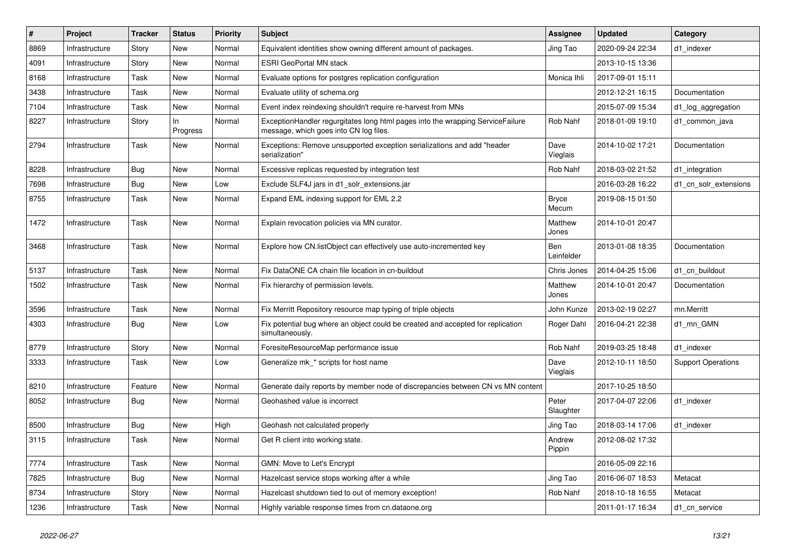| $\sharp$ | Project        | <b>Tracker</b> | <b>Status</b>  | Priority | <b>Subject</b>                                                                                                           | Assignee              | <b>Updated</b>   | Category                  |
|----------|----------------|----------------|----------------|----------|--------------------------------------------------------------------------------------------------------------------------|-----------------------|------------------|---------------------------|
| 8869     | Infrastructure | Story          | New            | Normal   | Equivalent identities show owning different amount of packages.                                                          | Jing Tao              | 2020-09-24 22:34 | d1 indexer                |
| 4091     | Infrastructure | Story          | New            | Normal   | <b>ESRI GeoPortal MN stack</b>                                                                                           |                       | 2013-10-15 13:36 |                           |
| 8168     | Infrastructure | Task           | New            | Normal   | Evaluate options for postgres replication configuration                                                                  | Monica Ihli           | 2017-09-01 15:11 |                           |
| 3438     | Infrastructure | Task           | New            | Normal   | Evaluate utility of schema.org                                                                                           |                       | 2012-12-21 16:15 | Documentation             |
| 7104     | Infrastructure | Task           | New            | Normal   | Event index reindexing shouldn't require re-harvest from MNs                                                             |                       | 2015-07-09 15:34 | d1_log_aggregation        |
| 8227     | Infrastructure | Story          | In<br>Progress | Normal   | ExceptionHandler regurgitates long html pages into the wrapping ServiceFailure<br>message, which goes into CN log files. | Rob Nahf              | 2018-01-09 19:10 | d1 common java            |
| 2794     | Infrastructure | <b>Task</b>    | New            | Normal   | Exceptions: Remove unsupported exception serializations and add "header<br>serialization"                                | Dave<br>Vieglais      | 2014-10-02 17:21 | Documentation             |
| 8228     | Infrastructure | Bug            | New            | Normal   | Excessive replicas requested by integration test                                                                         | Rob Nahf              | 2018-03-02 21:52 | d1 integration            |
| 7698     | Infrastructure | Bug            | New            | Low      | Exclude SLF4J jars in d1 solr extensions.jar                                                                             |                       | 2016-03-28 16:22 | d1_cn_solr_extensions     |
| 8755     | Infrastructure | Task           | New            | Normal   | Expand EML indexing support for EML 2.2                                                                                  | <b>Bryce</b><br>Mecum | 2019-08-15 01:50 |                           |
| 1472     | Infrastructure | Task           | New            | Normal   | Explain revocation policies via MN curator.                                                                              | Matthew<br>Jones      | 2014-10-01 20:47 |                           |
| 3468     | Infrastructure | Task           | New            | Normal   | Explore how CN.listObject can effectively use auto-incremented key                                                       | Ben<br>Leinfelder     | 2013-01-08 18:35 | Documentation             |
| 5137     | Infrastructure | Task           | New            | Normal   | Fix DataONE CA chain file location in cn-buildout                                                                        | Chris Jones           | 2014-04-25 15:06 | d1 cn buildout            |
| 1502     | Infrastructure | <b>Task</b>    | New            | Normal   | Fix hierarchy of permission levels.                                                                                      | Matthew<br>Jones      | 2014-10-01 20:47 | Documentation             |
| 3596     | Infrastructure | <b>Task</b>    | <b>New</b>     | Normal   | Fix Merritt Repository resource map typing of triple objects                                                             | John Kunze            | 2013-02-19 02:27 | mn.Merritt                |
| 4303     | Infrastructure | Bug            | New            | Low      | Fix potential bug where an object could be created and accepted for replication<br>simultaneously.                       | Roger Dahl            | 2016-04-21 22:38 | d1 mn GMN                 |
| 8779     | Infrastructure | Story          | New            | Normal   | ForesiteResourceMap performance issue                                                                                    | Rob Nahf              | 2019-03-25 18:48 | d1_indexer                |
| 3333     | Infrastructure | Task           | New            | Low      | Generalize mk_* scripts for host name                                                                                    | Dave<br>Vieglais      | 2012-10-11 18:50 | <b>Support Operations</b> |
| 8210     | Infrastructure | Feature        | New            | Normal   | Generate daily reports by member node of discrepancies between CN vs MN content                                          |                       | 2017-10-25 18:50 |                           |
| 8052     | Infrastructure | Bug            | New            | Normal   | Geohashed value is incorrect                                                                                             | Peter<br>Slaughter    | 2017-04-07 22:06 | d1_indexer                |
| 8500     | Infrastructure | Bug            | New            | High     | Geohash not calculated properly                                                                                          | Jing Tao              | 2018-03-14 17:06 | d1_indexer                |
| 3115     | Infrastructure | Task           | New            | Normal   | Get R client into working state.                                                                                         | Andrew<br>Pippin      | 2012-08-02 17:32 |                           |
| 7774     | Infrastructure | Task           | New            | Normal   | GMN: Move to Let's Encrypt                                                                                               |                       | 2016-05-09 22:16 |                           |
| 7825     | Infrastructure | Bug            | New            | Normal   | Hazelcast service stops working after a while                                                                            | Jing Tao              | 2016-06-07 18:53 | Metacat                   |
| 8734     | Infrastructure | Story          | New            | Normal   | Hazelcast shutdown tied to out of memory exception!                                                                      | Rob Nahf              | 2018-10-18 16:55 | Metacat                   |
| 1236     | Infrastructure | Task           | New            | Normal   | Highly variable response times from cn.dataone.org                                                                       |                       | 2011-01-17 16:34 | d1_cn_service             |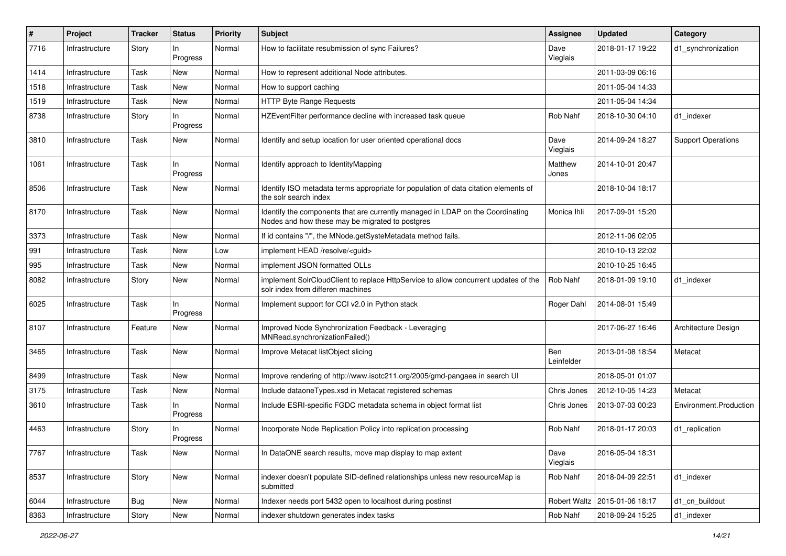| #    | Project        | <b>Tracker</b> | <b>Status</b>   | Priority | <b>Subject</b>                                                                                                                    | <b>Assignee</b>   | <b>Updated</b>                  | Category                  |
|------|----------------|----------------|-----------------|----------|-----------------------------------------------------------------------------------------------------------------------------------|-------------------|---------------------------------|---------------------------|
| 7716 | Infrastructure | Story          | In<br>Progress  | Normal   | How to facilitate resubmission of sync Failures?                                                                                  | Dave<br>Vieglais  | 2018-01-17 19:22                | d1_synchronization        |
| 1414 | Infrastructure | Task           | New             | Normal   | How to represent additional Node attributes.                                                                                      |                   | 2011-03-09 06:16                |                           |
| 1518 | Infrastructure | Task           | New             | Normal   | How to support caching                                                                                                            |                   | 2011-05-04 14:33                |                           |
| 1519 | Infrastructure | Task           | <b>New</b>      | Normal   | HTTP Byte Range Requests                                                                                                          |                   | 2011-05-04 14:34                |                           |
| 8738 | Infrastructure | Story          | In<br>Progress  | Normal   | HZEventFilter performance decline with increased task queue                                                                       | Rob Nahf          | 2018-10-30 04:10                | d1_indexer                |
| 3810 | Infrastructure | Task           | New             | Normal   | Identify and setup location for user oriented operational docs                                                                    | Dave<br>Vieglais  | 2014-09-24 18:27                | <b>Support Operations</b> |
| 1061 | Infrastructure | <b>Task</b>    | In.<br>Progress | Normal   | Identify approach to IdentityMapping                                                                                              | Matthew<br>Jones  | 2014-10-01 20:47                |                           |
| 8506 | Infrastructure | <b>Task</b>    | New             | Normal   | Identify ISO metadata terms appropriate for population of data citation elements of<br>the solr search index                      |                   | 2018-10-04 18:17                |                           |
| 8170 | Infrastructure | Task           | New             | Normal   | Identify the components that are currently managed in LDAP on the Coordinating<br>Nodes and how these may be migrated to postgres | Monica Ihli       | 2017-09-01 15:20                |                           |
| 3373 | Infrastructure | Task           | New             | Normal   | If id contains "/", the MNode.getSysteMetadata method fails.                                                                      |                   | 2012-11-06 02:05                |                           |
| 991  | Infrastructure | Task           | New             | Low      | implement HEAD /resolve/ <guid></guid>                                                                                            |                   | 2010-10-13 22:02                |                           |
| 995  | Infrastructure | <b>Task</b>    | New             | Normal   | implement JSON formatted OLLs                                                                                                     |                   | 2010-10-25 16:45                |                           |
| 8082 | Infrastructure | Story          | New             | Normal   | implement SolrCloudClient to replace HttpService to allow concurrent updates of the<br>solr index from differen machines          | Rob Nahf          | 2018-01-09 19:10                | d1 indexer                |
| 6025 | Infrastructure | Task           | In.<br>Progress | Normal   | Implement support for CCI v2.0 in Python stack                                                                                    | Roger Dahl        | 2014-08-01 15:49                |                           |
| 8107 | Infrastructure | Feature        | New             | Normal   | Improved Node Synchronization Feedback - Leveraging<br>MNRead.synchronizationFailed()                                             |                   | 2017-06-27 16:46                | Architecture Design       |
| 3465 | Infrastructure | Task           | <b>New</b>      | Normal   | Improve Metacat listObject slicing                                                                                                | Ben<br>Leinfelder | 2013-01-08 18:54                | Metacat                   |
| 8499 | Infrastructure | <b>Task</b>    | New             | Normal   | Improve rendering of http://www.isotc211.org/2005/gmd-pangaea in search UI                                                        |                   | 2018-05-01 01:07                |                           |
| 3175 | Infrastructure | Task           | New             | Normal   | Include dataoneTypes.xsd in Metacat registered schemas                                                                            | Chris Jones       | 2012-10-05 14:23                | Metacat                   |
| 3610 | Infrastructure | Task           | In.<br>Progress | Normal   | Include ESRI-specific FGDC metadata schema in object format list                                                                  | Chris Jones       | 2013-07-03 00:23                | Environment.Production    |
| 4463 | Infrastructure | Story          | In.<br>Progress | Normal   | Incorporate Node Replication Policy into replication processing                                                                   | Rob Nahf          | 2018-01-17 20:03                | d1 replication            |
| 7767 | Infrastructure | Task           | New             | Normal   | In DataONE search results, move map display to map extent                                                                         | Dave<br>Vieglais  | 2016-05-04 18:31                |                           |
| 8537 | Infrastructure | Story          | New             | Normal   | indexer doesn't populate SID-defined relationships unless new resourceMap is<br>submitted                                         | Rob Nahf          | 2018-04-09 22:51                | d1_indexer                |
| 6044 | Infrastructure | Bug            | New             | Normal   | Indexer needs port 5432 open to localhost during postinst                                                                         |                   | Robert Waltz   2015-01-06 18:17 | d1_cn_buildout            |
| 8363 | Infrastructure | Story          | New             | Normal   | indexer shutdown generates index tasks                                                                                            | Rob Nahf          | 2018-09-24 15:25                | d1_indexer                |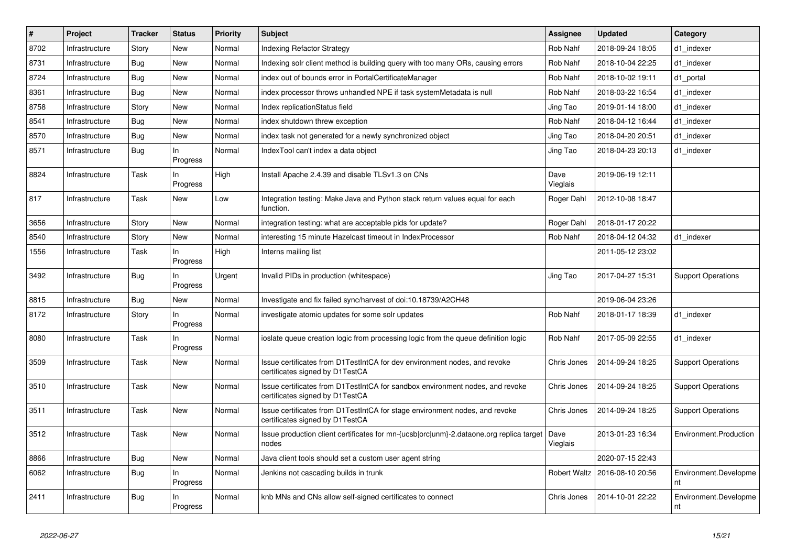| $\vert$ # | Project        | <b>Tracker</b> | <b>Status</b>   | <b>Priority</b> | <b>Subject</b>                                                                                                   | Assignee         | <b>Updated</b>   | Category                    |
|-----------|----------------|----------------|-----------------|-----------------|------------------------------------------------------------------------------------------------------------------|------------------|------------------|-----------------------------|
| 8702      | Infrastructure | Story          | <b>New</b>      | Normal          | <b>Indexing Refactor Strategy</b>                                                                                | Rob Nahf         | 2018-09-24 18:05 | d1_indexer                  |
| 8731      | Infrastructure | Bug            | <b>New</b>      | Normal          | Indexing solr client method is building query with too many ORs, causing errors                                  | Rob Nahf         | 2018-10-04 22:25 | d1 indexer                  |
| 8724      | Infrastructure | Bug            | <b>New</b>      | Normal          | index out of bounds error in PortalCertificateManager                                                            | Rob Nahf         | 2018-10-02 19:11 | d1 portal                   |
| 8361      | Infrastructure | Bug            | New             | Normal          | index processor throws unhandled NPE if task systemMetadata is null                                              | Rob Nahf         | 2018-03-22 16:54 | d1 indexer                  |
| 8758      | Infrastructure | Story          | <b>New</b>      | Normal          | Index replicationStatus field                                                                                    | Jing Tao         | 2019-01-14 18:00 | d1_indexer                  |
| 8541      | Infrastructure | <b>Bug</b>     | <b>New</b>      | Normal          | index shutdown threw exception                                                                                   | Rob Nahf         | 2018-04-12 16:44 | d1_indexer                  |
| 8570      | Infrastructure | Bug            | <b>New</b>      | Normal          | index task not generated for a newly synchronized object                                                         | Jing Tao         | 2018-04-20 20:51 | d1 indexer                  |
| 8571      | Infrastructure | <b>Bug</b>     | In<br>Progress  | Normal          | IndexTool can't index a data object                                                                              | Jing Tao         | 2018-04-23 20:13 | d1_indexer                  |
| 8824      | Infrastructure | Task           | In.<br>Progress | High            | Install Apache 2.4.39 and disable TLSv1.3 on CNs                                                                 | Dave<br>Vieglais | 2019-06-19 12:11 |                             |
| 817       | Infrastructure | Task           | <b>New</b>      | Low             | Integration testing: Make Java and Python stack return values equal for each<br>function.                        | Roger Dahl       | 2012-10-08 18:47 |                             |
| 3656      | Infrastructure | Story          | <b>New</b>      | Normal          | integration testing: what are acceptable pids for update?                                                        | Roger Dahl       | 2018-01-17 20:22 |                             |
| 8540      | Infrastructure | Story          | <b>New</b>      | Normal          | interesting 15 minute Hazelcast timeout in IndexProcessor                                                        | Rob Nahf         | 2018-04-12 04:32 | d1 indexer                  |
| 1556      | Infrastructure | Task           | In<br>Progress  | High            | Interns mailing list                                                                                             |                  | 2011-05-12 23:02 |                             |
| 3492      | Infrastructure | Bug            | In<br>Progress  | Urgent          | Invalid PIDs in production (whitespace)                                                                          | Jing Tao         | 2017-04-27 15:31 | <b>Support Operations</b>   |
| 8815      | Infrastructure | Bug            | <b>New</b>      | Normal          | Investigate and fix failed sync/harvest of doi:10.18739/A2CH48                                                   |                  | 2019-06-04 23:26 |                             |
| 8172      | Infrastructure | Story          | In<br>Progress  | Normal          | investigate atomic updates for some solr updates                                                                 | Rob Nahf         | 2018-01-17 18:39 | d1 indexer                  |
| 8080      | Infrastructure | Task           | In<br>Progress  | Normal          | ioslate queue creation logic from processing logic from the queue definition logic                               | Rob Nahf         | 2017-05-09 22:55 | d1 indexer                  |
| 3509      | Infrastructure | Task           | <b>New</b>      | Normal          | Issue certificates from D1TestIntCA for dev environment nodes, and revoke<br>certificates signed by D1TestCA     | Chris Jones      | 2014-09-24 18:25 | <b>Support Operations</b>   |
| 3510      | Infrastructure | Task           | New             | Normal          | Issue certificates from D1TestIntCA for sandbox environment nodes, and revoke<br>certificates signed by D1TestCA | Chris Jones      | 2014-09-24 18:25 | <b>Support Operations</b>   |
| 3511      | Infrastructure | Task           | New             | Normal          | Issue certificates from D1TestIntCA for stage environment nodes, and revoke<br>certificates signed by D1TestCA   | Chris Jones      | 2014-09-24 18:25 | <b>Support Operations</b>   |
| 3512      | Infrastructure | Task           | <b>New</b>      | Normal          | Issue production client certificates for mn-{ucsb orc unm}-2.dataone.org replica target<br>nodes                 | Dave<br>Vieglais | 2013-01-23 16:34 | Environment.Production      |
| 8866      | Infrastructure | Bug            | <b>New</b>      | Normal          | Java client tools should set a custom user agent string                                                          |                  | 2020-07-15 22:43 |                             |
| 6062      | Infrastructure | <b>Bug</b>     | In<br>Progress  | Normal          | Jenkins not cascading builds in trunk                                                                            | Robert Waltz     | 2016-08-10 20:56 | Environment.Developme<br>nt |
| 2411      | Infrastructure | <b>Bug</b>     | In<br>Progress  | Normal          | knb MNs and CNs allow self-signed certificates to connect                                                        | Chris Jones      | 2014-10-01 22:22 | Environment.Developme<br>nt |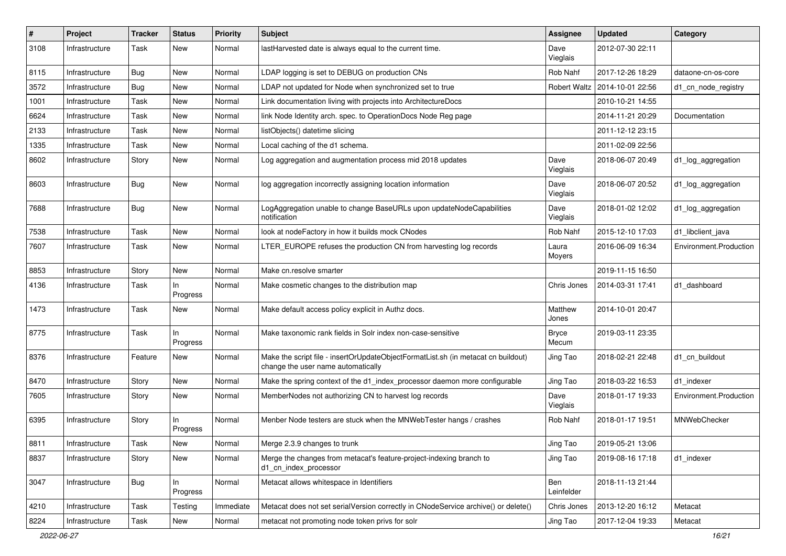| #    | Project        | <b>Tracker</b> | <b>Status</b>   | Priority  | <b>Subject</b>                                                                                                          | Assignee              | <b>Updated</b>                  | Category               |
|------|----------------|----------------|-----------------|-----------|-------------------------------------------------------------------------------------------------------------------------|-----------------------|---------------------------------|------------------------|
| 3108 | Infrastructure | Task           | New             | Normal    | lastHarvested date is always equal to the current time.                                                                 | Dave<br>Vieglais      | 2012-07-30 22:11                |                        |
| 8115 | Infrastructure | Bug            | New             | Normal    | LDAP logging is set to DEBUG on production CNs                                                                          | Rob Nahf              | 2017-12-26 18:29                | dataone-cn-os-core     |
| 3572 | Infrastructure | Bug            | New             | Normal    | LDAP not updated for Node when synchronized set to true                                                                 |                       | Robert Waltz   2014-10-01 22:56 | d1_cn_node_registry    |
| 1001 | Infrastructure | Task           | <b>New</b>      | Normal    | Link documentation living with projects into ArchitectureDocs                                                           |                       | 2010-10-21 14:55                |                        |
| 6624 | Infrastructure | Task           | New             | Normal    | link Node Identity arch. spec. to OperationDocs Node Reg page                                                           |                       | 2014-11-21 20:29                | Documentation          |
| 2133 | Infrastructure | Task           | New             | Normal    | listObjects() datetime slicing                                                                                          |                       | 2011-12-12 23:15                |                        |
| 1335 | Infrastructure | Task           | New             | Normal    | Local caching of the d1 schema.                                                                                         |                       | 2011-02-09 22:56                |                        |
| 8602 | Infrastructure | Story          | New             | Normal    | Log aggregation and augmentation process mid 2018 updates                                                               | Dave<br>Vieglais      | 2018-06-07 20:49                | d1_log_aggregation     |
| 8603 | Infrastructure | Bug            | New             | Normal    | log aggregation incorrectly assigning location information                                                              | Dave<br>Vieglais      | 2018-06-07 20:52                | d1_log_aggregation     |
| 7688 | Infrastructure | Bug            | New             | Normal    | LogAggregation unable to change BaseURLs upon updateNodeCapabilities<br>notification                                    | Dave<br>Vieglais      | 2018-01-02 12:02                | d1_log_aggregation     |
| 7538 | Infrastructure | Task           | New             | Normal    | look at nodeFactory in how it builds mock CNodes                                                                        | <b>Rob Nahf</b>       | 2015-12-10 17:03                | d1_libclient_java      |
| 7607 | Infrastructure | Task           | New             | Normal    | LTER_EUROPE refuses the production CN from harvesting log records                                                       | Laura<br>Moyers       | 2016-06-09 16:34                | Environment.Production |
| 8853 | Infrastructure | Story          | New             | Normal    | Make cn.resolve smarter                                                                                                 |                       | 2019-11-15 16:50                |                        |
| 4136 | Infrastructure | Task           | In<br>Progress  | Normal    | Make cosmetic changes to the distribution map                                                                           | Chris Jones           | 2014-03-31 17:41                | d1 dashboard           |
| 1473 | Infrastructure | Task           | New             | Normal    | Make default access policy explicit in Authz docs.                                                                      | Matthew<br>Jones      | 2014-10-01 20:47                |                        |
| 8775 | Infrastructure | <b>Task</b>    | In.<br>Progress | Normal    | Make taxonomic rank fields in Solr index non-case-sensitive                                                             | <b>Bryce</b><br>Mecum | 2019-03-11 23:35                |                        |
| 8376 | Infrastructure | Feature        | New             | Normal    | Make the script file - insertOrUpdateObjectFormatList.sh (in metacat cn buildout)<br>change the user name automatically | Jing Tao              | 2018-02-21 22:48                | d1_cn_buildout         |
| 8470 | Infrastructure | Story          | New             | Normal    | Make the spring context of the d1_index_processor daemon more configurable                                              | Jing Tao              | 2018-03-22 16:53                | d1_indexer             |
| 7605 | Infrastructure | Story          | New             | Normal    | MemberNodes not authorizing CN to harvest log records                                                                   | Dave<br>Vieglais      | 2018-01-17 19:33                | Environment.Production |
| 6395 | Infrastructure | Story          | In<br>Progress  | Normal    | Menber Node testers are stuck when the MNWebTester hangs / crashes                                                      | Rob Nahf              | 2018-01-17 19:51                | MNWebChecker           |
| 8811 | Infrastructure | Task           | New             | Normal    | Merge 2.3.9 changes to trunk                                                                                            | Jing Tao              | 2019-05-21 13:06                |                        |
| 8837 | Infrastructure | Story          | New             | Normal    | Merge the changes from metacat's feature-project-indexing branch to<br>d1_cn_index_processor                            | Jing Tao              | 2019-08-16 17:18                | d1 indexer             |
| 3047 | Infrastructure | Bug            | In<br>Progress  | Normal    | Metacat allows whitespace in Identifiers                                                                                | Ben<br>Leinfelder     | 2018-11-13 21:44                |                        |
| 4210 | Infrastructure | Task           | Testing         | Immediate | Metacat does not set serialVersion correctly in CNodeService archive() or delete()                                      | Chris Jones           | 2013-12-20 16:12                | Metacat                |
| 8224 | Infrastructure | Task           | New             | Normal    | metacat not promoting node token privs for solr                                                                         | Jing Tao              | 2017-12-04 19:33                | Metacat                |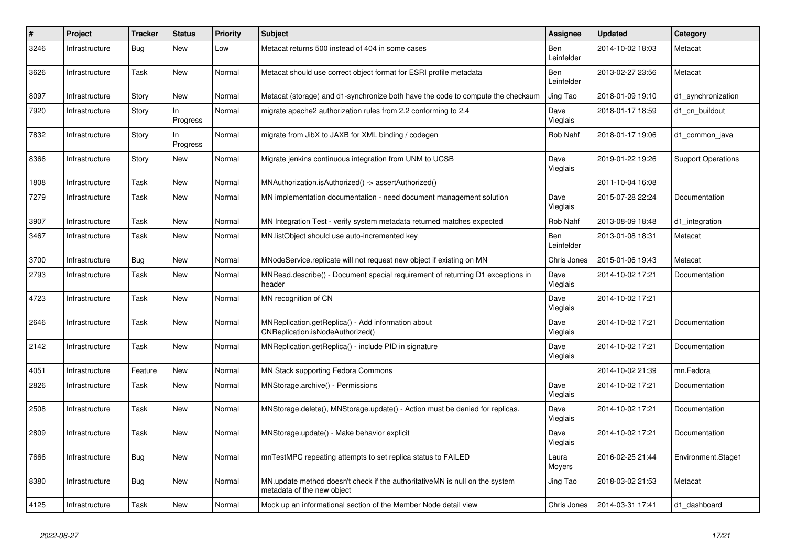| #    | Project        | <b>Tracker</b> | <b>Status</b>   | <b>Priority</b> | <b>Subject</b>                                                                                            | <b>Assignee</b>   | <b>Updated</b>   | Category                  |
|------|----------------|----------------|-----------------|-----------------|-----------------------------------------------------------------------------------------------------------|-------------------|------------------|---------------------------|
| 3246 | Infrastructure | Bug            | New             | Low             | Metacat returns 500 instead of 404 in some cases                                                          | Ben<br>Leinfelder | 2014-10-02 18:03 | Metacat                   |
| 3626 | Infrastructure | Task           | New             | Normal          | Metacat should use correct object format for ESRI profile metadata                                        | Ben<br>Leinfelder | 2013-02-27 23:56 | Metacat                   |
| 8097 | Infrastructure | Story          | New             | Normal          | Metacat (storage) and d1-synchronize both have the code to compute the checksum                           | Jing Tao          | 2018-01-09 19:10 | d1 synchronization        |
| 7920 | Infrastructure | Story          | In.<br>Progress | Normal          | migrate apache2 authorization rules from 2.2 conforming to 2.4                                            | Dave<br>Vieglais  | 2018-01-17 18:59 | d1 cn buildout            |
| 7832 | Infrastructure | Story          | In<br>Progress  | Normal          | migrate from JibX to JAXB for XML binding / codegen                                                       | Rob Nahf          | 2018-01-17 19:06 | d1 common java            |
| 8366 | Infrastructure | Story          | <b>New</b>      | Normal          | Migrate jenkins continuous integration from UNM to UCSB                                                   | Dave<br>Vieglais  | 2019-01-22 19:26 | <b>Support Operations</b> |
| 1808 | Infrastructure | Task           | New             | Normal          | MNAuthorization.isAuthorized() -> assertAuthorized()                                                      |                   | 2011-10-04 16:08 |                           |
| 7279 | Infrastructure | Task           | New             | Normal          | MN implementation documentation - need document management solution                                       | Dave<br>Vieglais  | 2015-07-28 22:24 | Documentation             |
| 3907 | Infrastructure | Task           | New             | Normal          | MN Integration Test - verify system metadata returned matches expected                                    | Rob Nahf          | 2013-08-09 18:48 | d1_integration            |
| 3467 | Infrastructure | Task           | <b>New</b>      | Normal          | MN.listObject should use auto-incremented key                                                             | Ben<br>Leinfelder | 2013-01-08 18:31 | Metacat                   |
| 3700 | Infrastructure | Bug            | New             | Normal          | MNodeService.replicate will not request new object if existing on MN                                      | Chris Jones       | 2015-01-06 19:43 | Metacat                   |
| 2793 | Infrastructure | Task           | New             | Normal          | MNRead.describe() - Document special requirement of returning D1 exceptions in<br>header                  | Dave<br>Vieglais  | 2014-10-02 17:21 | Documentation             |
| 4723 | Infrastructure | Task           | New             | Normal          | MN recognition of CN                                                                                      | Dave<br>Vieglais  | 2014-10-02 17:21 |                           |
| 2646 | Infrastructure | Task           | New             | Normal          | MNReplication.getReplica() - Add information about<br>CNReplication.isNodeAuthorized()                    | Dave<br>Vieglais  | 2014-10-02 17:21 | Documentation             |
| 2142 | Infrastructure | Task           | <b>New</b>      | Normal          | MNReplication.getReplica() - include PID in signature                                                     | Dave<br>Vieglais  | 2014-10-02 17:21 | Documentation             |
| 4051 | Infrastructure | Feature        | New             | Normal          | MN Stack supporting Fedora Commons                                                                        |                   | 2014-10-02 21:39 | mn.Fedora                 |
| 2826 | Infrastructure | Task           | New             | Normal          | MNStorage.archive() - Permissions                                                                         | Dave<br>Vieglais  | 2014-10-02 17:21 | Documentation             |
| 2508 | Infrastructure | Task           | New             | Normal          | MNStorage.delete(), MNStorage.update() - Action must be denied for replicas.                              | Dave<br>Vieglais  | 2014-10-02 17:21 | Documentation             |
| 2809 | Infrastructure | Task           | New             | Normal          | MNStorage.update() - Make behavior explicit                                                               | Dave<br>Vieglais  | 2014-10-02 17:21 | Documentation             |
| 7666 | Infrastructure | Bug            | New             | Normal          | mnTestMPC repeating attempts to set replica status to FAILED                                              | Laura<br>Moyers   | 2016-02-25 21:44 | Environment.Stage1        |
| 8380 | Infrastructure | Bug            | New             | Normal          | MN.update method doesn't check if the authoritativeMN is null on the system<br>metadata of the new object | Jing Tao          | 2018-03-02 21:53 | Metacat                   |
| 4125 | Infrastructure | Task           | New             | Normal          | Mock up an informational section of the Member Node detail view                                           | Chris Jones       | 2014-03-31 17:41 | d1 dashboard              |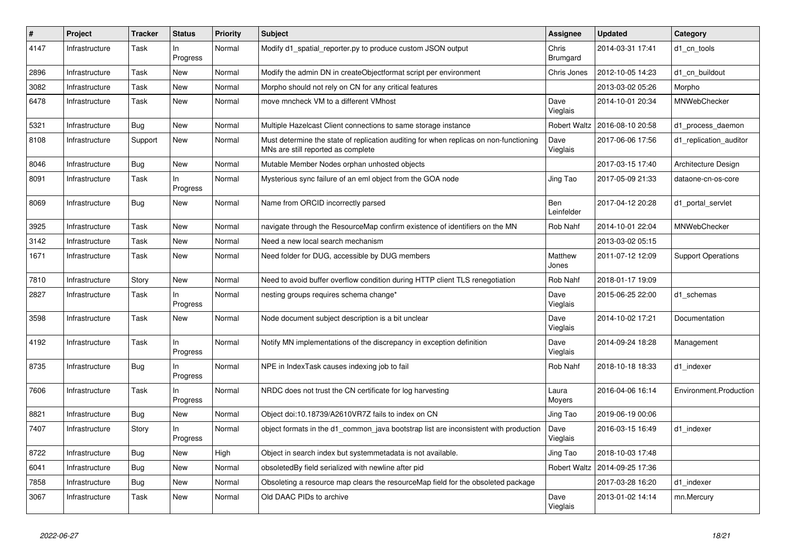| #    | Project        | <b>Tracker</b> | <b>Status</b>     | <b>Priority</b> | <b>Subject</b>                                                                                                              | <b>Assignee</b>     | <b>Updated</b>   | Category                  |
|------|----------------|----------------|-------------------|-----------------|-----------------------------------------------------------------------------------------------------------------------------|---------------------|------------------|---------------------------|
| 4147 | Infrastructure | Task           | In<br>Progress    | Normal          | Modify d1 spatial reporter.py to produce custom JSON output                                                                 | Chris<br>Brumgard   | 2014-03-31 17:41 | d1 cn tools               |
| 2896 | Infrastructure | Task           | New               | Normal          | Modify the admin DN in createObjectformat script per environment                                                            | Chris Jones         | 2012-10-05 14:23 | d1_cn_buildout            |
| 3082 | Infrastructure | Task           | <b>New</b>        | Normal          | Morpho should not rely on CN for any critical features                                                                      |                     | 2013-03-02 05:26 | Morpho                    |
| 6478 | Infrastructure | Task           | <b>New</b>        | Normal          | move mncheck VM to a different VMhost                                                                                       | Dave<br>Vieglais    | 2014-10-01 20:34 | MNWebChecker              |
| 5321 | Infrastructure | <b>Bug</b>     | New               | Normal          | Multiple Hazelcast Client connections to same storage instance                                                              | <b>Robert Waltz</b> | 2016-08-10 20:58 | d1_process_daemon         |
| 8108 | Infrastructure | Support        | New               | Normal          | Must determine the state of replication auditing for when replicas on non-functioning<br>MNs are still reported as complete | Dave<br>Vieglais    | 2017-06-06 17:56 | d1 replication auditor    |
| 8046 | Infrastructure | Bug            | <b>New</b>        | Normal          | Mutable Member Nodes orphan unhosted objects                                                                                |                     | 2017-03-15 17:40 | Architecture Design       |
| 8091 | Infrastructure | Task           | In<br>Progress    | Normal          | Mysterious sync failure of an eml object from the GOA node                                                                  | Jing Tao            | 2017-05-09 21:33 | dataone-cn-os-core        |
| 8069 | Infrastructure | <b>Bug</b>     | New               | Normal          | Name from ORCID incorrectly parsed                                                                                          | Ben<br>Leinfelder   | 2017-04-12 20:28 | d1 portal servlet         |
| 3925 | Infrastructure | Task           | <b>New</b>        | Normal          | navigate through the ResourceMap confirm existence of identifiers on the MN                                                 | Rob Nahf            | 2014-10-01 22:04 | MNWebChecker              |
| 3142 | Infrastructure | Task           | <b>New</b>        | Normal          | Need a new local search mechanism                                                                                           |                     | 2013-03-02 05:15 |                           |
| 1671 | Infrastructure | Task           | New               | Normal          | Need folder for DUG, accessible by DUG members                                                                              | Matthew<br>Jones    | 2011-07-12 12:09 | <b>Support Operations</b> |
| 7810 | Infrastructure | Story          | <b>New</b>        | Normal          | Need to avoid buffer overflow condition during HTTP client TLS renegotiation                                                | Rob Nahf            | 2018-01-17 19:09 |                           |
| 2827 | Infrastructure | Task           | In<br>Progress    | Normal          | nesting groups requires schema change*                                                                                      | Dave<br>Vieglais    | 2015-06-25 22:00 | d1 schemas                |
| 3598 | Infrastructure | Task           | New               | Normal          | Node document subject description is a bit unclear                                                                          | Dave<br>Vieglais    | 2014-10-02 17:21 | Documentation             |
| 4192 | Infrastructure | Task           | $\ln$<br>Progress | Normal          | Notify MN implementations of the discrepancy in exception definition                                                        | Dave<br>Vieglais    | 2014-09-24 18:28 | Management                |
| 8735 | Infrastructure | <b>Bug</b>     | In<br>Progress    | Normal          | NPE in IndexTask causes indexing job to fail                                                                                | Rob Nahf            | 2018-10-18 18:33 | d1 indexer                |
| 7606 | Infrastructure | Task           | ln<br>Progress    | Normal          | NRDC does not trust the CN certificate for log harvesting                                                                   | Laura<br>Moyers     | 2016-04-06 16:14 | Environment.Production    |
| 8821 | Infrastructure | Bug            | New               | Normal          | Object doi:10.18739/A2610VR7Z fails to index on CN                                                                          | Jing Tao            | 2019-06-19 00:06 |                           |
| 7407 | Infrastructure | Story          | ln<br>Progress    | Normal          | object formats in the d1_common_java bootstrap list are inconsistent with production                                        | Dave<br>Vieglais    | 2016-03-15 16:49 | d1 indexer                |
| 8722 | Infrastructure | Bug            | New               | High            | Object in search index but systemmetadata is not available.                                                                 | Jing Tao            | 2018-10-03 17:48 |                           |
| 6041 | Infrastructure | Bug            | <b>New</b>        | Normal          | obsoletedBy field serialized with newline after pid                                                                         | <b>Robert Waltz</b> | 2014-09-25 17:36 |                           |
| 7858 | Infrastructure | <b>Bug</b>     | <b>New</b>        | Normal          | Obsoleting a resource map clears the resourceMap field for the obsoleted package                                            |                     | 2017-03-28 16:20 | d1 indexer                |
| 3067 | Infrastructure | Task           | <b>New</b>        | Normal          | Old DAAC PIDs to archive                                                                                                    | Dave<br>Vieglais    | 2013-01-02 14:14 | mn.Mercury                |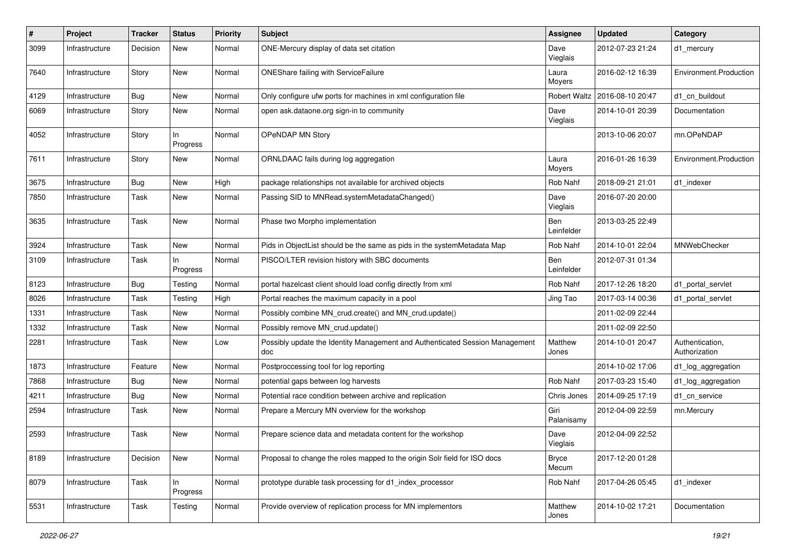| #    | Project        | <b>Tracker</b> | <b>Status</b>   | Priority | <b>Subject</b>                                                                      | <b>Assignee</b>       | <b>Updated</b>   | Category                         |
|------|----------------|----------------|-----------------|----------|-------------------------------------------------------------------------------------|-----------------------|------------------|----------------------------------|
| 3099 | Infrastructure | Decision       | New             | Normal   | ONE-Mercury display of data set citation                                            | Dave<br>Vieglais      | 2012-07-23 21:24 | d1_mercury                       |
| 7640 | Infrastructure | Story          | New             | Normal   | ONEShare failing with ServiceFailure                                                | Laura<br>Moyers       | 2016-02-12 16:39 | Environment.Production           |
| 4129 | Infrastructure | Bug            | <b>New</b>      | Normal   | Only configure ufw ports for machines in xml configuration file                     | <b>Robert Waltz</b>   | 2016-08-10 20:47 | d1_cn_buildout                   |
| 6069 | Infrastructure | Story          | New             | Normal   | open ask.dataone.org sign-in to community                                           | Dave<br>Vieglais      | 2014-10-01 20:39 | Documentation                    |
| 4052 | Infrastructure | Story          | In<br>Progress  | Normal   | OPeNDAP MN Story                                                                    |                       | 2013-10-06 20:07 | mn.OPeNDAP                       |
| 7611 | Infrastructure | Story          | New             | Normal   | ORNLDAAC fails during log aggregation                                               | Laura<br>Moyers       | 2016-01-26 16:39 | Environment.Production           |
| 3675 | Infrastructure | <b>Bug</b>     | <b>New</b>      | High     | package relationships not available for archived objects                            | Rob Nahf              | 2018-09-21 21:01 | d1 indexer                       |
| 7850 | Infrastructure | Task           | <b>New</b>      | Normal   | Passing SID to MNRead.systemMetadataChanged()                                       | Dave<br>Vieglais      | 2016-07-20 20:00 |                                  |
| 3635 | Infrastructure | Task           | New             | Normal   | Phase two Morpho implementation                                                     | Ben<br>Leinfelder     | 2013-03-25 22:49 |                                  |
| 3924 | Infrastructure | Task           | New             | Normal   | Pids in ObjectList should be the same as pids in the systemMetadata Map             | Rob Nahf              | 2014-10-01 22:04 | MNWebChecker                     |
| 3109 | Infrastructure | Task           | In<br>Progress  | Normal   | PISCO/LTER revision history with SBC documents                                      | Ben<br>Leinfelder     | 2012-07-31 01:34 |                                  |
| 8123 | Infrastructure | Bug            | Testing         | Normal   | portal hazelcast client should load config directly from xml                        | Rob Nahf              | 2017-12-26 18:20 | d1 portal servlet                |
| 8026 | Infrastructure | Task           | Testing         | High     | Portal reaches the maximum capacity in a pool                                       | Jing Tao              | 2017-03-14 00:36 | d1 portal servlet                |
| 1331 | Infrastructure | Task           | New             | Normal   | Possibly combine MN_crud.create() and MN_crud.update()                              |                       | 2011-02-09 22:44 |                                  |
| 1332 | Infrastructure | Task           | New             | Normal   | Possibly remove MN crud.update()                                                    |                       | 2011-02-09 22:50 |                                  |
| 2281 | Infrastructure | Task           | New             | Low      | Possibly update the Identity Management and Authenticated Session Management<br>doc | Matthew<br>Jones      | 2014-10-01 20:47 | Authentication,<br>Authorization |
| 1873 | Infrastructure | Feature        | New             | Normal   | Postproccessing tool for log reporting                                              |                       | 2014-10-02 17:06 | d1_log_aggregation               |
| 7868 | Infrastructure | Bug            | New             | Normal   | potential gaps between log harvests                                                 | Rob Nahf              | 2017-03-23 15:40 | d1_log_aggregation               |
| 4211 | Infrastructure | <b>Bug</b>     | New             | Normal   | Potential race condition between archive and replication                            | Chris Jones           | 2014-09-25 17:19 | d1 cn service                    |
| 2594 | Infrastructure | Task           | New             | Normal   | Prepare a Mercury MN overview for the workshop                                      | Giri<br>Palanisamy    | 2012-04-09 22:59 | mn.Mercury                       |
| 2593 | Infrastructure | Task           | New             | Normal   | Prepare science data and metadata content for the workshop                          | Dave<br>Vieglais      | 2012-04-09 22:52 |                                  |
| 8189 | Infrastructure | Decision       | New             | Normal   | Proposal to change the roles mapped to the origin Solr field for ISO docs           | <b>Bryce</b><br>Mecum | 2017-12-20 01:28 |                                  |
| 8079 | Infrastructure | Task           | In.<br>Progress | Normal   | prototype durable task processing for d1 index processor                            | Rob Nahf              | 2017-04-26 05:45 | d1_indexer                       |
| 5531 | Infrastructure | Task           | Testing         | Normal   | Provide overview of replication process for MN implementors                         | Matthew<br>Jones      | 2014-10-02 17:21 | Documentation                    |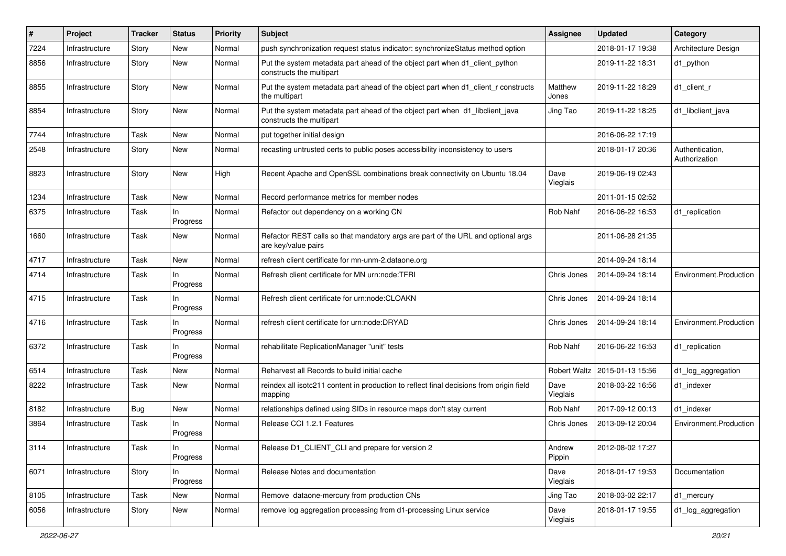| ∦    | Project        | <b>Tracker</b> | <b>Status</b>   | <b>Priority</b> | <b>Subject</b>                                                                                           | <b>Assignee</b>  | <b>Updated</b>   | Category                         |
|------|----------------|----------------|-----------------|-----------------|----------------------------------------------------------------------------------------------------------|------------------|------------------|----------------------------------|
| 7224 | Infrastructure | Story          | New             | Normal          | push synchronization request status indicator: synchronizeStatus method option                           |                  | 2018-01-17 19:38 | Architecture Design              |
| 8856 | Infrastructure | Story          | <b>New</b>      | Normal          | Put the system metadata part ahead of the object part when d1_client_python<br>constructs the multipart  |                  | 2019-11-22 18:31 | d1_python                        |
| 8855 | Infrastructure | Story          | New             | Normal          | Put the system metadata part ahead of the object part when d1_client_r constructs<br>the multipart       | Matthew<br>Jones | 2019-11-22 18:29 | d1 client r                      |
| 8854 | Infrastructure | Story          | <b>New</b>      | Normal          | Put the system metadata part ahead of the object part when d1_libclient_java<br>constructs the multipart | Jing Tao         | 2019-11-22 18:25 | d1_libclient_java                |
| 7744 | Infrastructure | Task           | <b>New</b>      | Normal          | put together initial design                                                                              |                  | 2016-06-22 17:19 |                                  |
| 2548 | Infrastructure | Story          | New             | Normal          | recasting untrusted certs to public poses accessibility inconsistency to users                           |                  | 2018-01-17 20:36 | Authentication,<br>Authorization |
| 8823 | Infrastructure | Story          | <b>New</b>      | High            | Recent Apache and OpenSSL combinations break connectivity on Ubuntu 18.04                                | Dave<br>Vieglais | 2019-06-19 02:43 |                                  |
| 1234 | Infrastructure | Task           | <b>New</b>      | Normal          | Record performance metrics for member nodes                                                              |                  | 2011-01-15 02:52 |                                  |
| 6375 | Infrastructure | Task           | In<br>Progress  | Normal          | Refactor out dependency on a working CN                                                                  | Rob Nahf         | 2016-06-22 16:53 | d1 replication                   |
| 1660 | Infrastructure | Task           | New             | Normal          | Refactor REST calls so that mandatory args are part of the URL and optional args<br>are key/value pairs  |                  | 2011-06-28 21:35 |                                  |
| 4717 | Infrastructure | Task           | <b>New</b>      | Normal          | refresh client certificate for mn-unm-2.dataone.org                                                      |                  | 2014-09-24 18:14 |                                  |
| 4714 | Infrastructure | Task           | In<br>Progress  | Normal          | Refresh client certificate for MN urn:node:TFRI                                                          | Chris Jones      | 2014-09-24 18:14 | Environment.Production           |
| 4715 | Infrastructure | Task           | In.<br>Progress | Normal          | Refresh client certificate for urn:node:CLOAKN                                                           | Chris Jones      | 2014-09-24 18:14 |                                  |
| 4716 | Infrastructure | Task           | In<br>Progress  | Normal          | refresh client certificate for urn:node:DRYAD                                                            | Chris Jones      | 2014-09-24 18:14 | Environment.Production           |
| 6372 | Infrastructure | Task           | In<br>Progress  | Normal          | rehabilitate ReplicationManager "unit" tests                                                             | Rob Nahf         | 2016-06-22 16:53 | d1 replication                   |
| 6514 | Infrastructure | Task           | New             | Normal          | Reharvest all Records to build initial cache                                                             | Robert Waltz     | 2015-01-13 15:56 | d1_log_aggregation               |
| 8222 | Infrastructure | Task           | <b>New</b>      | Normal          | reindex all isotc211 content in production to reflect final decisions from origin field<br>mapping       | Dave<br>Vieglais | 2018-03-22 16:56 | d1 indexer                       |
| 8182 | Infrastructure | Bug            | <b>New</b>      | Normal          | relationships defined using SIDs in resource maps don't stay current                                     | Rob Nahf         | 2017-09-12 00:13 | d1_indexer                       |
| 3864 | Infrastructure | Task           | In.<br>Progress | Normal          | Release CCI 1.2.1 Features                                                                               | Chris Jones      | 2013-09-12 20:04 | Environment.Production           |
| 3114 | Infrastructure | Task           | In<br>Progress  | Normal          | Release D1 CLIENT CLI and prepare for version 2                                                          | Andrew<br>Pippin | 2012-08-02 17:27 |                                  |
| 6071 | Infrastructure | Story          | In<br>Progress  | Normal          | Release Notes and documentation                                                                          | Dave<br>Vieglais | 2018-01-17 19:53 | Documentation                    |
| 8105 | Infrastructure | Task           | New             | Normal          | Remove dataone-mercury from production CNs                                                               | Jing Tao         | 2018-03-02 22:17 | d1_mercury                       |
| 6056 | Infrastructure | Story          | New             | Normal          | remove log aggregation processing from d1-processing Linux service                                       | Dave<br>Vieglais | 2018-01-17 19:55 | d1_log_aggregation               |